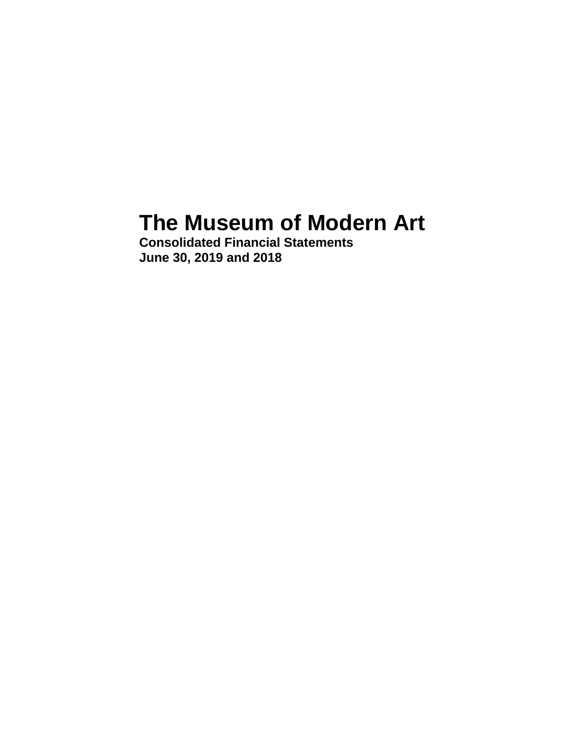# **The Museum of Modern Art**

**Consolidated Financial Statements June 30, 2019 and 2018**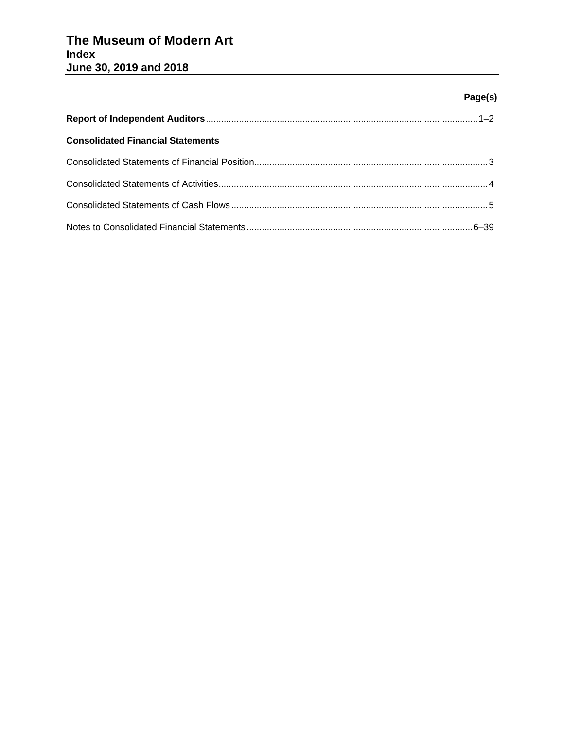# **Page(s)**

| <b>Consolidated Financial Statements</b> |  |
|------------------------------------------|--|
|                                          |  |
|                                          |  |
|                                          |  |
|                                          |  |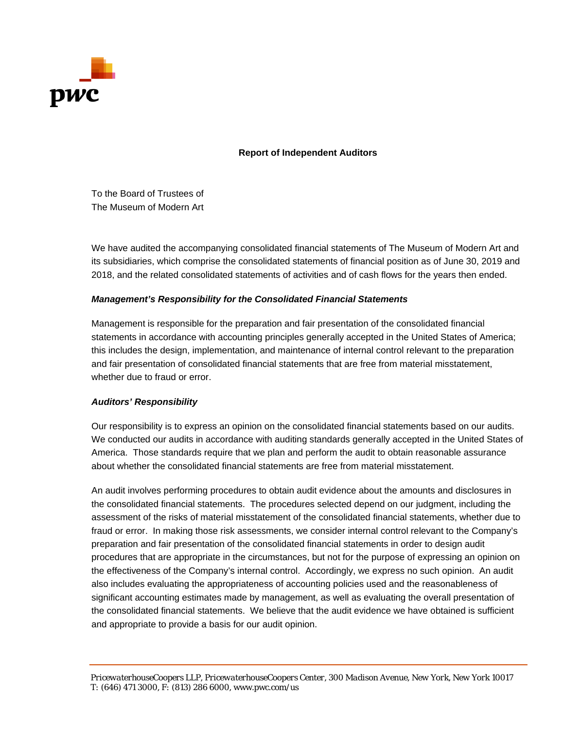

**Report of Independent Auditors**

To the Board of Trustees of The Museum of Modern Art

We have audited the accompanying consolidated financial statements of The Museum of Modern Art and its subsidiaries, which comprise the consolidated statements of financial position as of June 30, 2019 and 2018, and the related consolidated statements of activities and of cash flows for the years then ended.

### *Management's Responsibility for the Consolidated Financial Statements*

Management is responsible for the preparation and fair presentation of the consolidated financial statements in accordance with accounting principles generally accepted in the United States of America; this includes the design, implementation, and maintenance of internal control relevant to the preparation and fair presentation of consolidated financial statements that are free from material misstatement, whether due to fraud or error.

### *Auditors' Responsibility*

Our responsibility is to express an opinion on the consolidated financial statements based on our audits. We conducted our audits in accordance with auditing standards generally accepted in the United States of America. Those standards require that we plan and perform the audit to obtain reasonable assurance about whether the consolidated financial statements are free from material misstatement.

An audit involves performing procedures to obtain audit evidence about the amounts and disclosures in the consolidated financial statements. The procedures selected depend on our judgment, including the assessment of the risks of material misstatement of the consolidated financial statements, whether due to fraud or error. In making those risk assessments, we consider internal control relevant to the Company's preparation and fair presentation of the consolidated financial statements in order to design audit procedures that are appropriate in the circumstances, but not for the purpose of expressing an opinion on the effectiveness of the Company's internal control. Accordingly, we express no such opinion. An audit also includes evaluating the appropriateness of accounting policies used and the reasonableness of significant accounting estimates made by management, as well as evaluating the overall presentation of the consolidated financial statements. We believe that the audit evidence we have obtained is sufficient and appropriate to provide a basis for our audit opinion.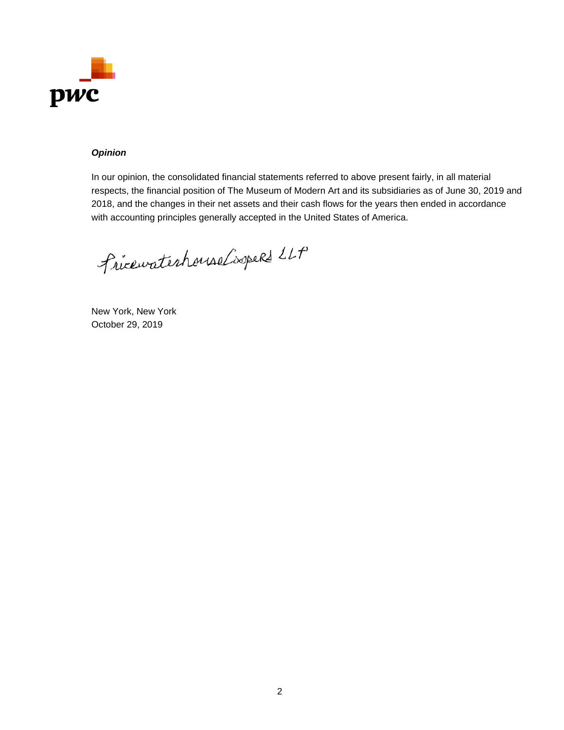

### *Opinion*

In our opinion, the consolidated financial statements referred to above present fairly, in all material respects, the financial position of The Museum of Modern Art and its subsidiaries as of June 30, 2019 and 2018, and the changes in their net assets and their cash flows for the years then ended in accordance with accounting principles generally accepted in the United States of America.

Fricewaterhouse Coopers LLP

New York, New York October 29, 2019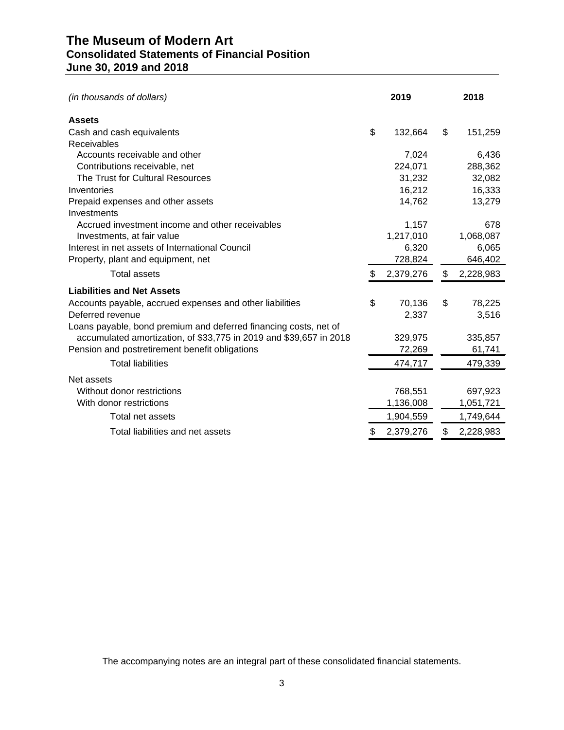# **The Museum of Modern Art Consolidated Statements of Financial Position June 30, 2019 and 2018**

| (in thousands of dollars)                                          | 2019          | 2018            |
|--------------------------------------------------------------------|---------------|-----------------|
| <b>Assets</b>                                                      |               |                 |
| Cash and cash equivalents                                          | \$<br>132,664 | \$<br>151,259   |
| Receivables                                                        |               |                 |
| Accounts receivable and other                                      | 7,024         | 6,436           |
| Contributions receivable, net                                      | 224,071       | 288,362         |
| The Trust for Cultural Resources                                   | 31,232        | 32,082          |
| Inventories                                                        | 16,212        | 16,333          |
| Prepaid expenses and other assets                                  | 14,762        | 13,279          |
| Investments                                                        |               |                 |
| Accrued investment income and other receivables                    | 1,157         | 678             |
| Investments, at fair value                                         | 1,217,010     | 1,068,087       |
| Interest in net assets of International Council                    | 6,320         | 6,065           |
| Property, plant and equipment, net                                 | 728,824       | 646,402         |
| <b>Total assets</b>                                                | 2,379,276     | \$<br>2,228,983 |
| <b>Liabilities and Net Assets</b>                                  |               |                 |
| Accounts payable, accrued expenses and other liabilities           | \$<br>70,136  | \$<br>78,225    |
| Deferred revenue                                                   | 2,337         | 3,516           |
| Loans payable, bond premium and deferred financing costs, net of   |               |                 |
| accumulated amortization, of \$33,775 in 2019 and \$39,657 in 2018 | 329,975       | 335,857         |
| Pension and postretirement benefit obligations                     | 72,269        | 61,741          |
| <b>Total liabilities</b>                                           | 474,717       | 479,339         |
| Net assets                                                         |               |                 |
| Without donor restrictions                                         | 768,551       | 697,923         |
| With donor restrictions                                            | 1,136,008     | 1,051,721       |
| Total net assets                                                   | 1,904,559     | 1,749,644       |
| Total liabilities and net assets                                   | 2,379,276     | \$<br>2,228,983 |

The accompanying notes are an integral part of these consolidated financial statements.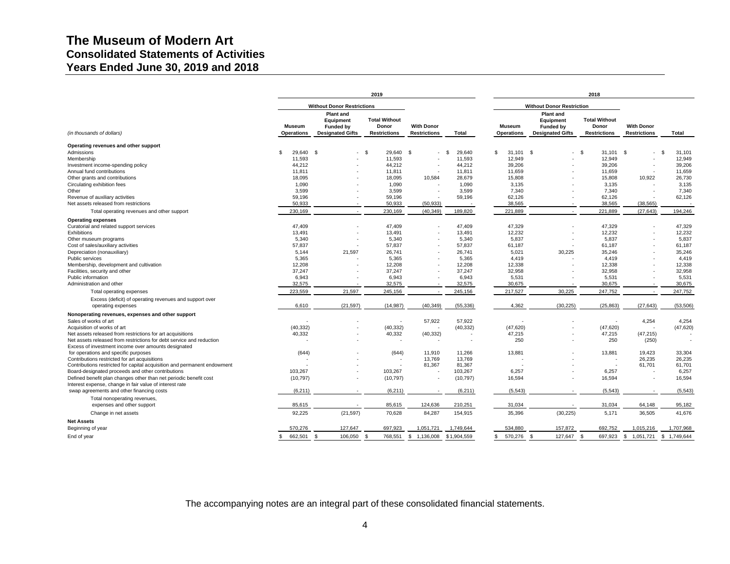# **The Museum of Modern Art Consolidated Statements of Activities Years Ended June 30, 2019 and 2018**

|                                                                          |                                 |                                                                       | 2019                                                 |                                          |              | 2018                               |                                                                              |                                                      |                                          |                    |  |  |
|--------------------------------------------------------------------------|---------------------------------|-----------------------------------------------------------------------|------------------------------------------------------|------------------------------------------|--------------|------------------------------------|------------------------------------------------------------------------------|------------------------------------------------------|------------------------------------------|--------------------|--|--|
|                                                                          |                                 | <b>Without Donor Restrictions</b>                                     |                                                      |                                          |              |                                    | <b>Without Donor Restriction</b>                                             |                                                      |                                          |                    |  |  |
| (in thousands of dollars)                                                | Museum<br>Operations            | <b>Plant and</b><br>Equipment<br>Funded by<br><b>Designated Gifts</b> | <b>Total Without</b><br>Donor<br><b>Restrictions</b> | <b>With Donor</b><br><b>Restrictions</b> | Total        | <b>Museum</b><br><b>Operations</b> | <b>Plant and</b><br>Equipment<br><b>Funded by</b><br><b>Designated Gifts</b> | <b>Total Without</b><br>Donor<br><b>Restrictions</b> | <b>With Donor</b><br><b>Restrictions</b> | Total              |  |  |
| Operating revenues and other support                                     |                                 |                                                                       |                                                      |                                          |              |                                    |                                                                              |                                                      |                                          |                    |  |  |
| Admissions                                                               | $\mathbf{\hat{S}}$<br>29,640 \$ | $-$ \$                                                                | 29,640 \$                                            | $\sim$                                   | 29,640<br>-S | \$<br>$31,101$ \$                  | $\sim$                                                                       | $\mathfrak{L}$<br>$31,101$ \$                        |                                          | <b>S</b><br>31,101 |  |  |
| Membership                                                               | 11,593                          |                                                                       | 11,593                                               |                                          | 11,593       | 12,949                             |                                                                              | 12,949                                               |                                          | 12,949             |  |  |
| Investment income-spending policy                                        | 44,212                          |                                                                       | 44,212                                               |                                          | 44,212       | 39,206                             |                                                                              | 39,206                                               |                                          | 39,206             |  |  |
| Annual fund contributions                                                | 11,811                          |                                                                       | 11,811                                               |                                          | 11,811       | 11,659                             |                                                                              | 11,659                                               |                                          | 11,659             |  |  |
| Other grants and contributions                                           | 18,095                          |                                                                       | 18,095                                               | 10,584                                   | 28,679       | 15,808                             |                                                                              | 15,808                                               | 10,922                                   | 26,730             |  |  |
| Circulating exhibition fees                                              | 1,090                           |                                                                       | 1,090                                                |                                          | 1,090        | 3,135                              |                                                                              | 3,135                                                |                                          | 3,135              |  |  |
| Other                                                                    | 3,599                           |                                                                       | 3.599                                                |                                          | 3.599        | 7,340                              |                                                                              | 7,340                                                |                                          | 7,340              |  |  |
| Revenue of auxiliary activities                                          | 59,196                          |                                                                       | 59,196                                               |                                          | 59,196       | 62,126                             |                                                                              | 62,126                                               |                                          | 62,126             |  |  |
| Net assets released from restrictions                                    | 50,933                          |                                                                       | 50,933                                               | (50, 933)                                |              | 38,565                             |                                                                              | 38,565                                               | (38, 565)                                |                    |  |  |
| Total operating revenues and other support                               | 230,169                         | $\overline{\phantom{a}}$                                              | 230,169                                              | (40, 349)                                | 189,820      | 221,889                            | $\sim$                                                                       | 221,889                                              | (27, 643)                                | 194,246            |  |  |
| <b>Operating expenses</b>                                                |                                 |                                                                       |                                                      |                                          |              |                                    |                                                                              |                                                      |                                          |                    |  |  |
| Curatorial and related support services                                  | 47,409                          |                                                                       | 47,409                                               |                                          | 47,409       | 47,329                             |                                                                              | 47,329                                               |                                          | 47,329             |  |  |
| Exhibitions                                                              | 13,491                          |                                                                       | 13,491                                               |                                          | 13,491       | 12,232                             |                                                                              | 12,232                                               |                                          | 12,232             |  |  |
| Other museum programs                                                    | 5,340                           |                                                                       | 5,340                                                |                                          | 5,340        | 5,837                              |                                                                              | 5,837                                                |                                          | 5,837              |  |  |
| Cost of sales/auxiliary activities                                       | 57.837                          |                                                                       | 57,837                                               |                                          | 57,837       | 61,187                             |                                                                              | 61.187                                               |                                          | 61,187             |  |  |
| Depreciation (nonauxiliary)                                              | 5,144                           | 21,597                                                                | 26.741                                               |                                          | 26,741       | 5,021                              | 30,225                                                                       | 35.246                                               |                                          | 35,246             |  |  |
| Public services                                                          | 5,365                           |                                                                       | 5,365                                                |                                          | 5,365        | 4,419                              |                                                                              | 4,419                                                |                                          | 4,419              |  |  |
| Membership, development and cultivation                                  | 12,208                          |                                                                       | 12,208                                               |                                          | 12,208       | 12,338                             |                                                                              | 12,338                                               |                                          | 12,338             |  |  |
| Facilities, security and other                                           | 37,247                          |                                                                       | 37,247                                               |                                          | 37,247       | 32,958                             |                                                                              | 32,958                                               |                                          | 32,958             |  |  |
| Public information                                                       | 6,943                           |                                                                       | 6,943                                                |                                          | 6,943        | 5,531                              |                                                                              | 5,531                                                |                                          | 5,531              |  |  |
| Administration and other                                                 | 32,575                          |                                                                       | 32,575                                               |                                          | 32,575       | 30,675                             |                                                                              | 30,675                                               |                                          | 30,675             |  |  |
| Total operating expenses                                                 | 223.559                         | 21,597                                                                | 245,156                                              |                                          | 245,156      | 217,527                            | 30,225                                                                       | 247,752                                              |                                          | 247,752            |  |  |
| Excess (deficit) of operating revenues and support over                  |                                 |                                                                       |                                                      |                                          |              |                                    |                                                                              |                                                      |                                          |                    |  |  |
| operating expenses                                                       | 6.610                           | (21, 597)                                                             | (14, 987)                                            | (40, 349)                                | (55, 336)    | 4.362                              | (30, 225)                                                                    | (25, 863)                                            | (27.643)                                 | (53, 506)          |  |  |
| Nonoperating revenues, expenses and other support                        |                                 |                                                                       |                                                      |                                          |              |                                    |                                                                              |                                                      |                                          |                    |  |  |
| Sales of works of art                                                    |                                 |                                                                       |                                                      | 57,922                                   | 57,922       |                                    |                                                                              |                                                      | 4,254                                    | 4,254              |  |  |
| Acquisition of works of art                                              | (40, 332)                       |                                                                       | (40, 332)                                            | $\sim$                                   | (40, 332)    | (47, 620)                          |                                                                              | (47, 620)                                            |                                          | (47, 620)          |  |  |
| Net assets released from restrictions for art acquisitions               | 40,332                          |                                                                       | 40,332                                               | (40, 332)                                |              | 47,215                             |                                                                              | 47,215                                               | (47, 215)                                |                    |  |  |
| Net assets released from restrictions for debt service and reduction     |                                 |                                                                       | ٠                                                    | $\sim$                                   |              | 250                                |                                                                              | 250                                                  | (250)                                    |                    |  |  |
| Excess of investment income over amounts designated                      |                                 |                                                                       |                                                      |                                          |              |                                    |                                                                              |                                                      |                                          |                    |  |  |
| for operations and specific purposes                                     | (644)                           |                                                                       | (644)                                                | 11,910                                   | 11,266       | 13,881                             |                                                                              | 13,881                                               | 19.423                                   | 33,304             |  |  |
| Contributions restricted for art acquisitions                            |                                 |                                                                       |                                                      | 13,769                                   | 13,769       |                                    |                                                                              |                                                      | 26,235                                   | 26,235             |  |  |
| Contributions restricted for capital acquisition and permanent endowment |                                 |                                                                       |                                                      | 81,367                                   | 81,367       |                                    |                                                                              |                                                      | 61,701                                   | 61,701             |  |  |
| Board-designated proceeds and other contributions                        | 103,267                         |                                                                       | 103,267                                              |                                          | 103,267      | 6,257                              |                                                                              | 6,257                                                |                                          | 6,257              |  |  |
| Defined benefit plan changes other than net periodic benefit cost        | (10, 797)                       |                                                                       | (10, 797)                                            |                                          | (10, 797)    | 16,594                             |                                                                              | 16,594                                               | ٠                                        | 16,594             |  |  |
| Interest expense, change in fair value of interest rate                  |                                 |                                                                       |                                                      |                                          |              |                                    |                                                                              |                                                      |                                          |                    |  |  |
| swap agreements and other financing costs                                | (6, 211)                        |                                                                       | (6, 211)                                             |                                          | (6, 211)     | (5, 543)                           |                                                                              | (5, 543)                                             |                                          | (5, 543)           |  |  |
| Total nonoperating revenues,                                             |                                 |                                                                       |                                                      |                                          |              |                                    |                                                                              |                                                      |                                          |                    |  |  |
| expenses and other support                                               | 85,615                          |                                                                       | 85,615                                               | 124,636                                  | 210,251      | 31,034                             |                                                                              | 31,034                                               | 64,148                                   | 95,182             |  |  |
| Change in net assets                                                     | 92.225                          | (21, 597)                                                             | 70.628                                               | 84,287                                   | 154,915      | 35,396                             | (30, 225)                                                                    | 5,171                                                | 36,505                                   | 41,676             |  |  |
| <b>Net Assets</b>                                                        |                                 |                                                                       |                                                      |                                          |              |                                    |                                                                              |                                                      |                                          |                    |  |  |
| Beginning of year                                                        | 570,276                         | 127,647                                                               | 697,923                                              | 1,051,721                                | 1,749,644    | 534,880                            | 157,872                                                                      | 692,752                                              | 1,015,216                                | 1,707,968          |  |  |
| End of year                                                              | 662,501<br>\$                   | \$<br>106,050                                                         | 768,551<br>-S                                        | \$1,136,008                              | \$1,904,559  | 570,276<br>\$                      | \$<br>127,647                                                                | \$<br>697,923                                        | \$<br>1,051,721                          | \$1,749,644        |  |  |

The accompanying notes are an integral part of these consolidated financial statements.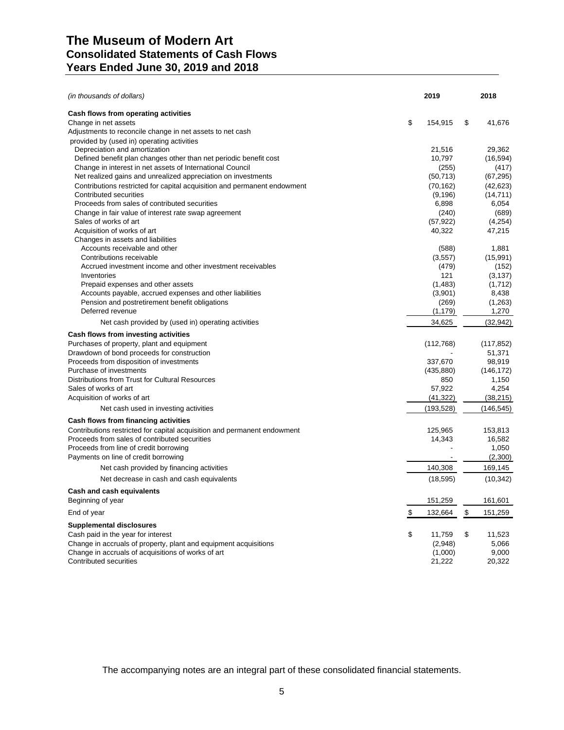# **The Museum of Modern Art Consolidated Statements of Cash Flows Years Ended June 30, 2019 and 2018**

| (in thousands of dollars)                                                                          | 2019 |                   | 2018               |
|----------------------------------------------------------------------------------------------------|------|-------------------|--------------------|
| Cash flows from operating activities                                                               |      |                   |                    |
| Change in net assets                                                                               | \$   | 154,915           | \$<br>41,676       |
| Adjustments to reconcile change in net assets to net cash                                          |      |                   |                    |
| provided by (used in) operating activities                                                         |      |                   |                    |
| Depreciation and amortization                                                                      |      | 21,516            | 29,362             |
| Defined benefit plan changes other than net periodic benefit cost                                  |      | 10,797            | (16, 594)          |
| Change in interest in net assets of International Council                                          |      | (255)             | (417)              |
| Net realized gains and unrealized appreciation on investments                                      |      | (50, 713)         | (67, 295)          |
| Contributions restricted for capital acquisition and permanent endowment<br>Contributed securities |      | (70, 162)         | (42, 623)          |
| Proceeds from sales of contributed securities                                                      |      | (9, 196)<br>6,898 | (14, 711)<br>6,054 |
| Change in fair value of interest rate swap agreement                                               |      | (240)             | (689)              |
| Sales of works of art                                                                              |      | (57, 922)         | (4,254)            |
| Acquisition of works of art                                                                        |      | 40,322            | 47,215             |
| Changes in assets and liabilities                                                                  |      |                   |                    |
| Accounts receivable and other                                                                      |      | (588)             | 1.881              |
| Contributions receivable                                                                           |      | (3,557)           | (15,991)           |
| Accrued investment income and other investment receivables                                         |      | (479)             | (152)              |
| Inventories                                                                                        |      | 121               | (3, 137)           |
| Prepaid expenses and other assets                                                                  |      | (1,483)           | (1,712)            |
| Accounts payable, accrued expenses and other liabilities                                           |      | (3,901)           | 8,438              |
| Pension and postretirement benefit obligations                                                     |      | (269)             | (1,263)            |
| Deferred revenue                                                                                   |      | (1, 179)          | 1,270              |
| Net cash provided by (used in) operating activities                                                |      | 34,625            | (32, 942)          |
| Cash flows from investing activities                                                               |      |                   |                    |
| Purchases of property, plant and equipment                                                         |      | (112, 768)        | (117, 852)         |
| Drawdown of bond proceeds for construction                                                         |      |                   | 51,371             |
| Proceeds from disposition of investments                                                           |      | 337,670           | 98,919             |
| Purchase of investments                                                                            |      | (435, 880)        | (146, 172)         |
| Distributions from Trust for Cultural Resources                                                    |      | 850               | 1,150              |
| Sales of works of art                                                                              |      | 57,922            | 4,254              |
| Acquisition of works of art                                                                        |      | (41, 322)         | (38, 215)          |
| Net cash used in investing activities                                                              |      | (193, 528)        | (146, 545)         |
| Cash flows from financing activities                                                               |      |                   |                    |
| Contributions restricted for capital acquisition and permanent endowment                           |      | 125,965           | 153,813            |
| Proceeds from sales of contributed securities                                                      |      | 14,343            | 16,582             |
| Proceeds from line of credit borrowing                                                             |      | ÷,                | 1,050              |
| Payments on line of credit borrowing                                                               |      |                   | (2,300)            |
| Net cash provided by financing activities                                                          |      | 140,308           | 169,145            |
| Net decrease in cash and cash equivalents                                                          |      | (18, 595)         | (10, 342)          |
| Cash and cash equivalents                                                                          |      |                   |                    |
| Beginning of year                                                                                  |      | 151,259           | 161,601            |
| End of year                                                                                        | \$   | 132,664           | \$<br>151,259      |
| <b>Supplemental disclosures</b>                                                                    |      |                   |                    |
| Cash paid in the year for interest                                                                 | \$   | 11,759            | \$<br>11,523       |
| Change in accruals of property, plant and equipment acquisitions                                   |      | (2,948)           | 5,066              |
| Change in accruals of acquisitions of works of art                                                 |      | (1,000)           | 9,000              |
| Contributed securities                                                                             |      | 21,222            | 20,322             |

The accompanying notes are an integral part of these consolidated financial statements.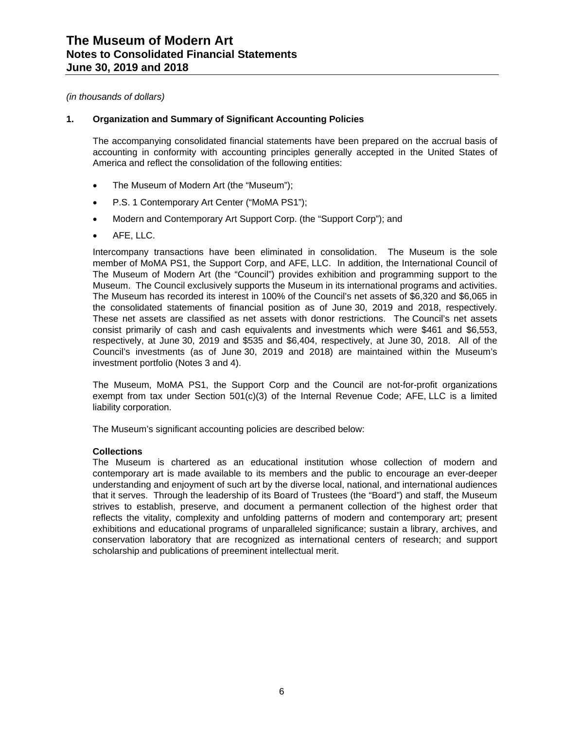### **1. Organization and Summary of Significant Accounting Policies**

The accompanying consolidated financial statements have been prepared on the accrual basis of accounting in conformity with accounting principles generally accepted in the United States of America and reflect the consolidation of the following entities:

- The Museum of Modern Art (the "Museum");
- P.S. 1 Contemporary Art Center ("MoMA PS1");
- Modern and Contemporary Art Support Corp. (the "Support Corp"); and
- AFE, LLC.

Intercompany transactions have been eliminated in consolidation. The Museum is the sole member of MoMA PS1, the Support Corp, and AFE, LLC. In addition, the International Council of The Museum of Modern Art (the "Council") provides exhibition and programming support to the Museum. The Council exclusively supports the Museum in its international programs and activities. The Museum has recorded its interest in 100% of the Council's net assets of \$6,320 and \$6,065 in the consolidated statements of financial position as of June 30, 2019 and 2018, respectively. These net assets are classified as net assets with donor restrictions. The Council's net assets consist primarily of cash and cash equivalents and investments which were \$461 and \$6,553, respectively, at June 30, 2019 and \$535 and \$6,404, respectively, at June 30, 2018. All of the Council's investments (as of June 30, 2019 and 2018) are maintained within the Museum's investment portfolio (Notes 3 and 4).

The Museum, MoMA PS1, the Support Corp and the Council are not-for-profit organizations exempt from tax under Section  $501(c)(3)$  of the Internal Revenue Code; AFE, LLC is a limited liability corporation.

The Museum's significant accounting policies are described below:

### **Collections**

The Museum is chartered as an educational institution whose collection of modern and contemporary art is made available to its members and the public to encourage an ever-deeper understanding and enjoyment of such art by the diverse local, national, and international audiences that it serves. Through the leadership of its Board of Trustees (the "Board") and staff, the Museum strives to establish, preserve, and document a permanent collection of the highest order that reflects the vitality, complexity and unfolding patterns of modern and contemporary art; present exhibitions and educational programs of unparalleled significance; sustain a library, archives, and conservation laboratory that are recognized as international centers of research; and support scholarship and publications of preeminent intellectual merit.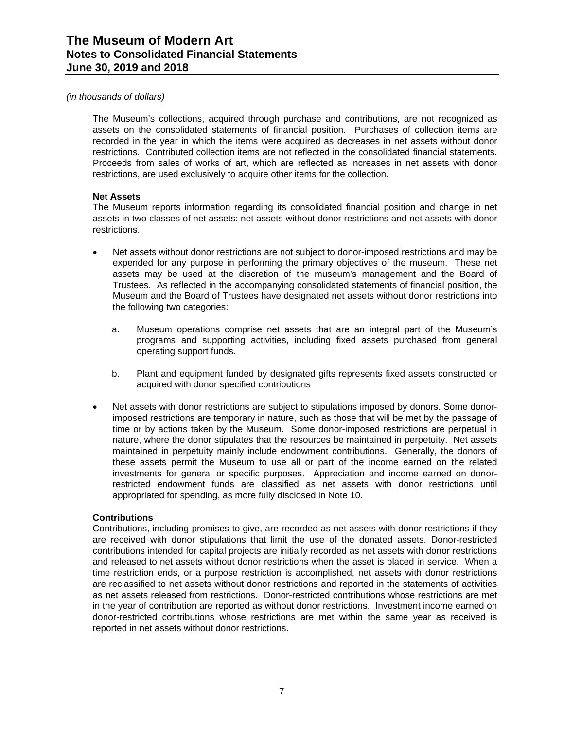### *(in thousands of dollars)*

The Museum's collections, acquired through purchase and contributions, are not recognized as assets on the consolidated statements of financial position. Purchases of collection items are recorded in the year in which the items were acquired as decreases in net assets without donor restrictions. Contributed collection items are not reflected in the consolidated financial statements. Proceeds from sales of works of art, which are reflected as increases in net assets with donor restrictions, are used exclusively to acquire other items for the collection.

### **Net Assets**

The Museum reports information regarding its consolidated financial position and change in net assets in two classes of net assets: net assets without donor restrictions and net assets with donor restrictions.

- Net assets without donor restrictions are not subject to donor-imposed restrictions and may be expended for any purpose in performing the primary objectives of the museum. These net assets may be used at the discretion of the museum's management and the Board of Trustees. As reflected in the accompanying consolidated statements of financial position, the Museum and the Board of Trustees have designated net assets without donor restrictions into the following two categories:
	- a. Museum operations comprise net assets that are an integral part of the Museum's programs and supporting activities, including fixed assets purchased from general operating support funds.
	- b. Plant and equipment funded by designated gifts represents fixed assets constructed or acquired with donor specified contributions
- Net assets with donor restrictions are subject to stipulations imposed by donors. Some donorimposed restrictions are temporary in nature, such as those that will be met by the passage of time or by actions taken by the Museum. Some donor-imposed restrictions are perpetual in nature, where the donor stipulates that the resources be maintained in perpetuity. Net assets maintained in perpetuity mainly include endowment contributions. Generally, the donors of these assets permit the Museum to use all or part of the income earned on the related investments for general or specific purposes. Appreciation and income earned on donorrestricted endowment funds are classified as net assets with donor restrictions until appropriated for spending, as more fully disclosed in Note 10.

### **Contributions**

Contributions, including promises to give, are recorded as net assets with donor restrictions if they are received with donor stipulations that limit the use of the donated assets. Donor-restricted contributions intended for capital projects are initially recorded as net assets with donor restrictions and released to net assets without donor restrictions when the asset is placed in service. When a time restriction ends, or a purpose restriction is accomplished, net assets with donor restrictions are reclassified to net assets without donor restrictions and reported in the statements of activities as net assets released from restrictions. Donor-restricted contributions whose restrictions are met in the year of contribution are reported as without donor restrictions. Investment income earned on donor-restricted contributions whose restrictions are met within the same year as received is reported in net assets without donor restrictions.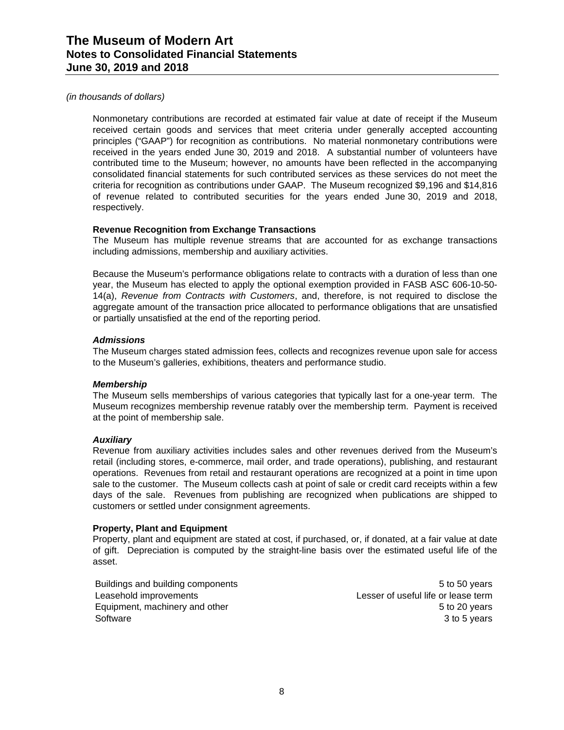### *(in thousands of dollars)*

Nonmonetary contributions are recorded at estimated fair value at date of receipt if the Museum received certain goods and services that meet criteria under generally accepted accounting principles ("GAAP") for recognition as contributions. No material nonmonetary contributions were received in the years ended June 30, 2019 and 2018. A substantial number of volunteers have contributed time to the Museum; however, no amounts have been reflected in the accompanying consolidated financial statements for such contributed services as these services do not meet the criteria for recognition as contributions under GAAP. The Museum recognized \$9,196 and \$14,816 of revenue related to contributed securities for the years ended June 30, 2019 and 2018, respectively.

### **Revenue Recognition from Exchange Transactions**

The Museum has multiple revenue streams that are accounted for as exchange transactions including admissions, membership and auxiliary activities.

Because the Museum's performance obligations relate to contracts with a duration of less than one year, the Museum has elected to apply the optional exemption provided in FASB ASC 606-10-50- 14(a), *Revenue from Contracts with Customers*, and, therefore, is not required to disclose the aggregate amount of the transaction price allocated to performance obligations that are unsatisfied or partially unsatisfied at the end of the reporting period.

### *Admissions*

The Museum charges stated admission fees, collects and recognizes revenue upon sale for access to the Museum's galleries, exhibitions, theaters and performance studio.

### *Membership*

The Museum sells memberships of various categories that typically last for a one-year term. The Museum recognizes membership revenue ratably over the membership term. Payment is received at the point of membership sale.

### *Auxiliary*

Revenue from auxiliary activities includes sales and other revenues derived from the Museum's retail (including stores, e-commerce, mail order, and trade operations), publishing, and restaurant operations. Revenues from retail and restaurant operations are recognized at a point in time upon sale to the customer. The Museum collects cash at point of sale or credit card receipts within a few days of the sale. Revenues from publishing are recognized when publications are shipped to customers or settled under consignment agreements.

### **Property, Plant and Equipment**

Property, plant and equipment are stated at cost, if purchased, or, if donated, at a fair value at date of gift. Depreciation is computed by the straight-line basis over the estimated useful life of the asset.

Buildings and building components 6 to 50 years 5 to 50 years Leasehold improvements Lesser of useful life or lease term Equipment, machinery and other 5 to 20 years 5 to 20 years Software 3 to 5 years 3 to 5 years 3 to 5 years 3 to 5 years 3 to 5 years 3 to 5 years 3 to 5 years 3 to 5 years 3 to 5 years 3 to 5 years 3 to 5 years 3 to 5 years 3 to 5 years 3 to 5 years 3 to 5 years 3 to 5 years 3 to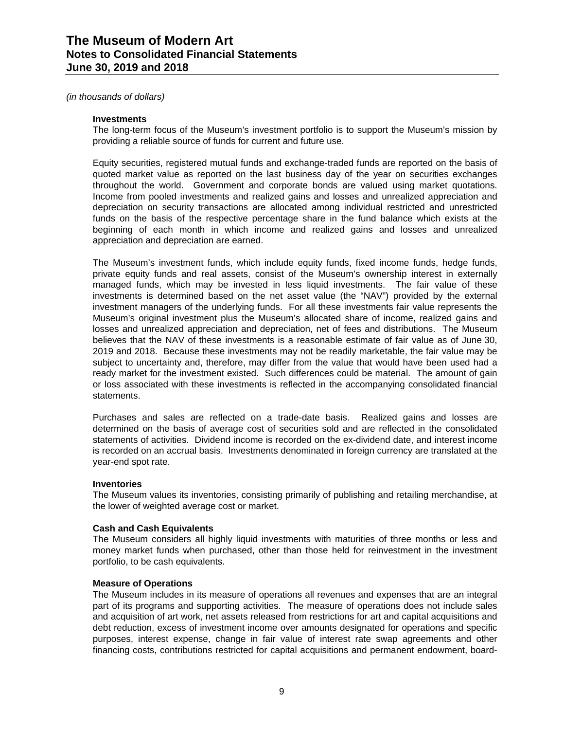#### *(in thousands of dollars)*

#### **Investments**

The long-term focus of the Museum's investment portfolio is to support the Museum's mission by providing a reliable source of funds for current and future use.

Equity securities, registered mutual funds and exchange-traded funds are reported on the basis of quoted market value as reported on the last business day of the year on securities exchanges throughout the world. Government and corporate bonds are valued using market quotations. Income from pooled investments and realized gains and losses and unrealized appreciation and depreciation on security transactions are allocated among individual restricted and unrestricted funds on the basis of the respective percentage share in the fund balance which exists at the beginning of each month in which income and realized gains and losses and unrealized appreciation and depreciation are earned.

The Museum's investment funds, which include equity funds, fixed income funds, hedge funds, private equity funds and real assets, consist of the Museum's ownership interest in externally managed funds, which may be invested in less liquid investments. The fair value of these investments is determined based on the net asset value (the "NAV") provided by the external investment managers of the underlying funds. For all these investments fair value represents the Museum's original investment plus the Museum's allocated share of income, realized gains and losses and unrealized appreciation and depreciation, net of fees and distributions. The Museum believes that the NAV of these investments is a reasonable estimate of fair value as of June 30, 2019 and 2018. Because these investments may not be readily marketable, the fair value may be subject to uncertainty and, therefore, may differ from the value that would have been used had a ready market for the investment existed. Such differences could be material. The amount of gain or loss associated with these investments is reflected in the accompanying consolidated financial statements.

Purchases and sales are reflected on a trade-date basis. Realized gains and losses are determined on the basis of average cost of securities sold and are reflected in the consolidated statements of activities. Dividend income is recorded on the ex-dividend date, and interest income is recorded on an accrual basis. Investments denominated in foreign currency are translated at the year-end spot rate.

#### **Inventories**

The Museum values its inventories, consisting primarily of publishing and retailing merchandise, at the lower of weighted average cost or market.

### **Cash and Cash Equivalents**

The Museum considers all highly liquid investments with maturities of three months or less and money market funds when purchased, other than those held for reinvestment in the investment portfolio, to be cash equivalents.

### **Measure of Operations**

The Museum includes in its measure of operations all revenues and expenses that are an integral part of its programs and supporting activities. The measure of operations does not include sales and acquisition of art work, net assets released from restrictions for art and capital acquisitions and debt reduction, excess of investment income over amounts designated for operations and specific purposes, interest expense, change in fair value of interest rate swap agreements and other financing costs, contributions restricted for capital acquisitions and permanent endowment, board-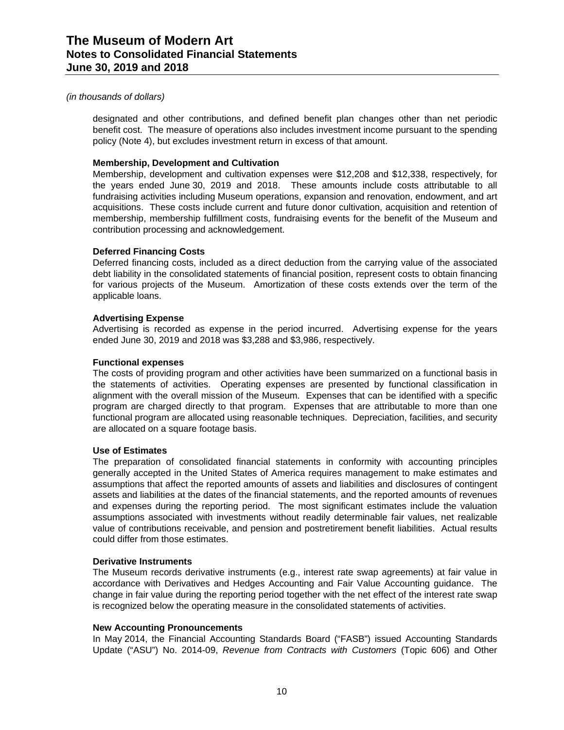### *(in thousands of dollars)*

designated and other contributions, and defined benefit plan changes other than net periodic benefit cost. The measure of operations also includes investment income pursuant to the spending policy (Note 4), but excludes investment return in excess of that amount.

### **Membership, Development and Cultivation**

Membership, development and cultivation expenses were \$12,208 and \$12,338, respectively, for the years ended June 30, 2019 and 2018. These amounts include costs attributable to all fundraising activities including Museum operations, expansion and renovation, endowment, and art acquisitions. These costs include current and future donor cultivation, acquisition and retention of membership, membership fulfillment costs, fundraising events for the benefit of the Museum and contribution processing and acknowledgement.

### **Deferred Financing Costs**

Deferred financing costs, included as a direct deduction from the carrying value of the associated debt liability in the consolidated statements of financial position, represent costs to obtain financing for various projects of the Museum. Amortization of these costs extends over the term of the applicable loans.

### **Advertising Expense**

Advertising is recorded as expense in the period incurred. Advertising expense for the years ended June 30, 2019 and 2018 was \$3,288 and \$3,986, respectively.

### **Functional expenses**

The costs of providing program and other activities have been summarized on a functional basis in the statements of activities. Operating expenses are presented by functional classification in alignment with the overall mission of the Museum. Expenses that can be identified with a specific program are charged directly to that program. Expenses that are attributable to more than one functional program are allocated using reasonable techniques. Depreciation, facilities, and security are allocated on a square footage basis.

### **Use of Estimates**

The preparation of consolidated financial statements in conformity with accounting principles generally accepted in the United States of America requires management to make estimates and assumptions that affect the reported amounts of assets and liabilities and disclosures of contingent assets and liabilities at the dates of the financial statements, and the reported amounts of revenues and expenses during the reporting period. The most significant estimates include the valuation assumptions associated with investments without readily determinable fair values, net realizable value of contributions receivable, and pension and postretirement benefit liabilities. Actual results could differ from those estimates.

### **Derivative Instruments**

The Museum records derivative instruments (e.g., interest rate swap agreements) at fair value in accordance with Derivatives and Hedges Accounting and Fair Value Accounting guidance. The change in fair value during the reporting period together with the net effect of the interest rate swap is recognized below the operating measure in the consolidated statements of activities.

### **New Accounting Pronouncements**

In May 2014, the Financial Accounting Standards Board ("FASB") issued Accounting Standards Update ("ASU") No. 2014-09, *Revenue from Contracts with Customers* (Topic 606) and Other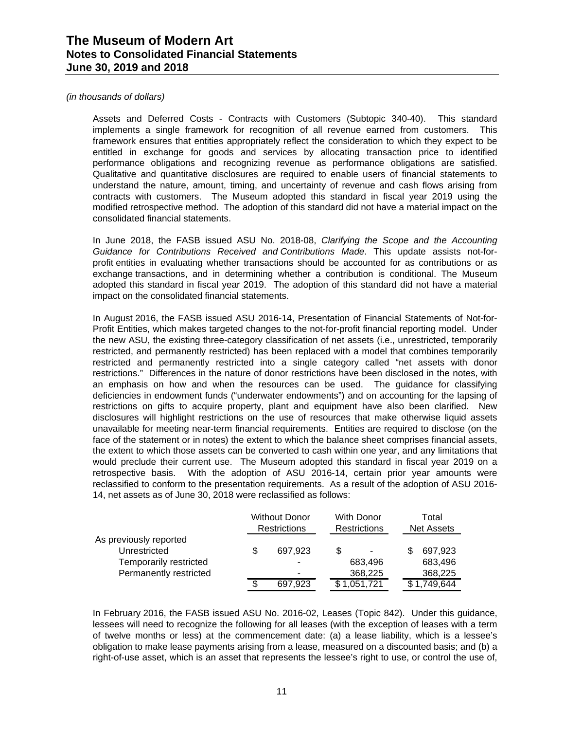### *(in thousands of dollars)*

Assets and Deferred Costs - Contracts with Customers (Subtopic 340-40). This standard implements a single framework for recognition of all revenue earned from customers. This framework ensures that entities appropriately reflect the consideration to which they expect to be entitled in exchange for goods and services by allocating transaction price to identified performance obligations and recognizing revenue as performance obligations are satisfied. Qualitative and quantitative disclosures are required to enable users of financial statements to understand the nature, amount, timing, and uncertainty of revenue and cash flows arising from contracts with customers. The Museum adopted this standard in fiscal year 2019 using the modified retrospective method. The adoption of this standard did not have a material impact on the consolidated financial statements.

In June 2018, the FASB issued ASU No. 2018-08, *Clarifying the Scope and the Accounting Guidance for Contributions Received and Contributions Made*. This update assists not-forprofit entities in evaluating whether transactions should be accounted for as contributions or as exchange transactions, and in determining whether a contribution is conditional. The Museum adopted this standard in fiscal year 2019. The adoption of this standard did not have a material impact on the consolidated financial statements.

In August 2016, the FASB issued ASU 2016-14, Presentation of Financial Statements of Not-for-Profit Entities, which makes targeted changes to the not-for-profit financial reporting model. Under the new ASU, the existing three-category classification of net assets (i.e., unrestricted, temporarily restricted, and permanently restricted) has been replaced with a model that combines temporarily restricted and permanently restricted into a single category called "net assets with donor restrictions." Differences in the nature of donor restrictions have been disclosed in the notes, with an emphasis on how and when the resources can be used. The guidance for classifying deficiencies in endowment funds ("underwater endowments") and on accounting for the lapsing of restrictions on gifts to acquire property, plant and equipment have also been clarified. New disclosures will highlight restrictions on the use of resources that make otherwise liquid assets unavailable for meeting near-term financial requirements. Entities are required to disclose (on the face of the statement or in notes) the extent to which the balance sheet comprises financial assets, the extent to which those assets can be converted to cash within one year, and any limitations that would preclude their current use. The Museum adopted this standard in fiscal year 2019 on a retrospective basis. With the adoption of ASU 2016-14, certain prior year amounts were reclassified to conform to the presentation requirements. As a result of the adoption of ASU 2016- 14, net assets as of June 30, 2018 were reclassified as follows:

|                        |    | <b>Without Donor</b><br><b>Restrictions</b> | <b>With Donor</b><br><b>Restrictions</b> | Total<br><b>Net Assets</b> |             |  |
|------------------------|----|---------------------------------------------|------------------------------------------|----------------------------|-------------|--|
| As previously reported |    |                                             |                                          |                            |             |  |
| Unrestricted           | \$ | 697,923                                     | ۰                                        |                            | 697.923     |  |
| Temporarily restricted |    | -                                           | 683.496                                  |                            | 683,496     |  |
| Permanently restricted |    | ۰                                           | 368,225                                  |                            | 368,225     |  |
|                        | S  | 697.923                                     | \$1,051,721                              |                            | \$1,749,644 |  |

In February 2016, the FASB issued ASU No. 2016-02, Leases (Topic 842). Under this guidance, lessees will need to recognize the following for all leases (with the exception of leases with a term of twelve months or less) at the commencement date: (a) a lease liability, which is a lessee's obligation to make lease payments arising from a lease, measured on a discounted basis; and (b) a right-of-use asset, which is an asset that represents the lessee's right to use, or control the use of,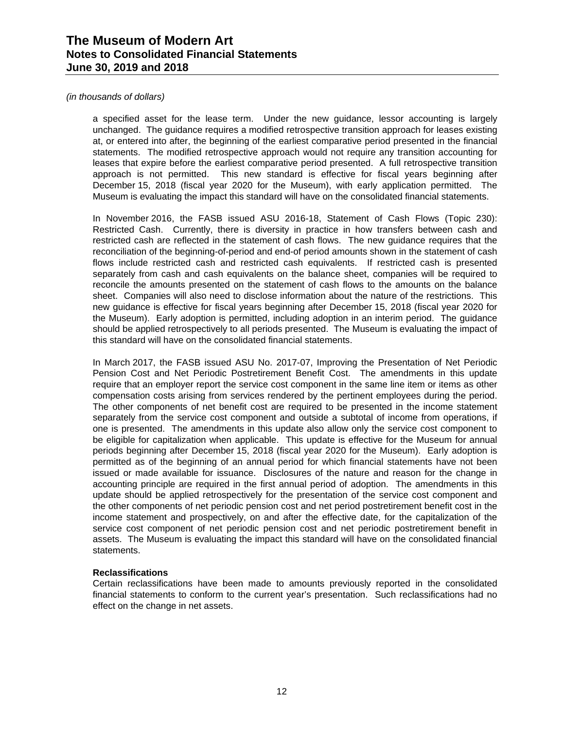### *(in thousands of dollars)*

a specified asset for the lease term. Under the new guidance, lessor accounting is largely unchanged. The guidance requires a modified retrospective transition approach for leases existing at, or entered into after, the beginning of the earliest comparative period presented in the financial statements. The modified retrospective approach would not require any transition accounting for leases that expire before the earliest comparative period presented. A full retrospective transition approach is not permitted. This new standard is effective for fiscal years beginning after December 15, 2018 (fiscal year 2020 for the Museum), with early application permitted. The Museum is evaluating the impact this standard will have on the consolidated financial statements.

In November 2016, the FASB issued ASU 2016-18, Statement of Cash Flows (Topic 230): Restricted Cash. Currently, there is diversity in practice in how transfers between cash and restricted cash are reflected in the statement of cash flows. The new guidance requires that the reconciliation of the beginning-of-period and end-of period amounts shown in the statement of cash flows include restricted cash and restricted cash equivalents. If restricted cash is presented separately from cash and cash equivalents on the balance sheet, companies will be required to reconcile the amounts presented on the statement of cash flows to the amounts on the balance sheet. Companies will also need to disclose information about the nature of the restrictions. This new guidance is effective for fiscal years beginning after December 15, 2018 (fiscal year 2020 for the Museum). Early adoption is permitted, including adoption in an interim period. The guidance should be applied retrospectively to all periods presented. The Museum is evaluating the impact of this standard will have on the consolidated financial statements.

In March 2017, the FASB issued ASU No. 2017-07, Improving the Presentation of Net Periodic Pension Cost and Net Periodic Postretirement Benefit Cost. The amendments in this update require that an employer report the service cost component in the same line item or items as other compensation costs arising from services rendered by the pertinent employees during the period. The other components of net benefit cost are required to be presented in the income statement separately from the service cost component and outside a subtotal of income from operations, if one is presented. The amendments in this update also allow only the service cost component to be eligible for capitalization when applicable. This update is effective for the Museum for annual periods beginning after December 15, 2018 (fiscal year 2020 for the Museum). Early adoption is permitted as of the beginning of an annual period for which financial statements have not been issued or made available for issuance. Disclosures of the nature and reason for the change in accounting principle are required in the first annual period of adoption. The amendments in this update should be applied retrospectively for the presentation of the service cost component and the other components of net periodic pension cost and net period postretirement benefit cost in the income statement and prospectively, on and after the effective date, for the capitalization of the service cost component of net periodic pension cost and net periodic postretirement benefit in assets. The Museum is evaluating the impact this standard will have on the consolidated financial statements.

### **Reclassifications**

Certain reclassifications have been made to amounts previously reported in the consolidated financial statements to conform to the current year's presentation. Such reclassifications had no effect on the change in net assets.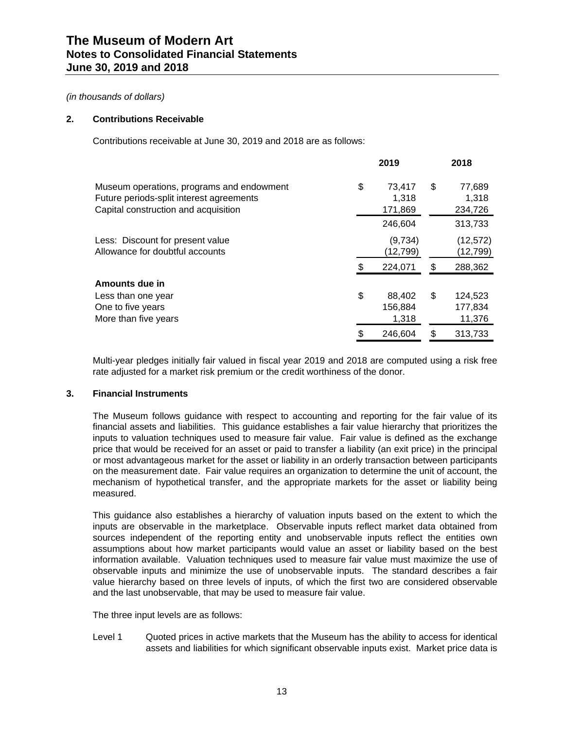### **2. Contributions Receivable**

Contributions receivable at June 30, 2019 and 2018 are as follows:

|                                                                                                                               |     | 2019                       |    | 2018                         |
|-------------------------------------------------------------------------------------------------------------------------------|-----|----------------------------|----|------------------------------|
| Museum operations, programs and endowment<br>Future periods-split interest agreements<br>Capital construction and acquisition | \$  | 73,417<br>1.318<br>171,869 | \$ | 77,689<br>1,318<br>234,726   |
|                                                                                                                               |     | 246,604                    |    | 313,733                      |
| Less: Discount for present value<br>Allowance for doubtful accounts                                                           |     | (9,734)<br>(12, 799)       |    | (12, 572)<br>(12,799)        |
|                                                                                                                               | \$. | 224,071                    | S  | 288,362                      |
| Amounts due in                                                                                                                |     |                            |    |                              |
| Less than one year<br>One to five years<br>More than five years                                                               | \$  | 88,402<br>156,884<br>1,318 | \$ | 124,523<br>177,834<br>11,376 |
|                                                                                                                               | \$  | 246,604                    | S  | 313,733                      |

Multi-year pledges initially fair valued in fiscal year 2019 and 2018 are computed using a risk free rate adjusted for a market risk premium or the credit worthiness of the donor.

#### **3. Financial Instruments**

The Museum follows guidance with respect to accounting and reporting for the fair value of its financial assets and liabilities. This guidance establishes a fair value hierarchy that prioritizes the inputs to valuation techniques used to measure fair value. Fair value is defined as the exchange price that would be received for an asset or paid to transfer a liability (an exit price) in the principal or most advantageous market for the asset or liability in an orderly transaction between participants on the measurement date. Fair value requires an organization to determine the unit of account, the mechanism of hypothetical transfer, and the appropriate markets for the asset or liability being measured.

This guidance also establishes a hierarchy of valuation inputs based on the extent to which the inputs are observable in the marketplace. Observable inputs reflect market data obtained from sources independent of the reporting entity and unobservable inputs reflect the entities own assumptions about how market participants would value an asset or liability based on the best information available. Valuation techniques used to measure fair value must maximize the use of observable inputs and minimize the use of unobservable inputs. The standard describes a fair value hierarchy based on three levels of inputs, of which the first two are considered observable and the last unobservable, that may be used to measure fair value.

The three input levels are as follows:

Level 1 Quoted prices in active markets that the Museum has the ability to access for identical assets and liabilities for which significant observable inputs exist. Market price data is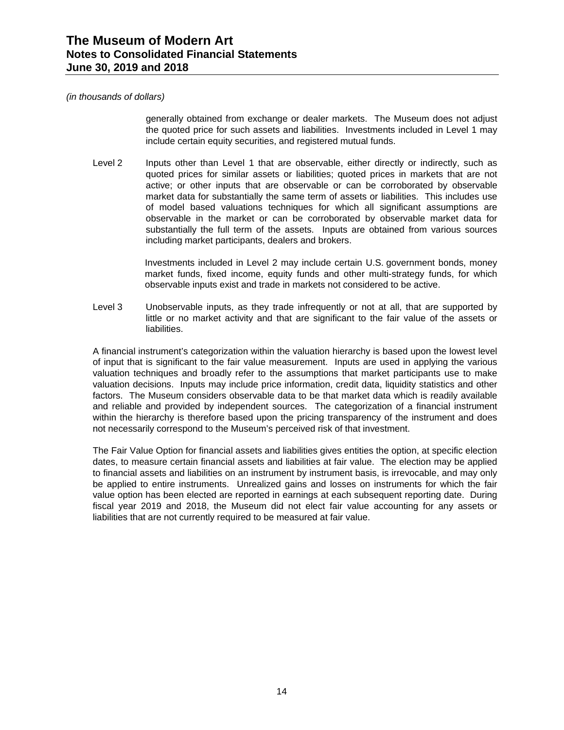### *(in thousands of dollars)*

generally obtained from exchange or dealer markets. The Museum does not adjust the quoted price for such assets and liabilities. Investments included in Level 1 may include certain equity securities, and registered mutual funds.

Level 2 Inputs other than Level 1 that are observable, either directly or indirectly, such as quoted prices for similar assets or liabilities; quoted prices in markets that are not active; or other inputs that are observable or can be corroborated by observable market data for substantially the same term of assets or liabilities. This includes use of model based valuations techniques for which all significant assumptions are observable in the market or can be corroborated by observable market data for substantially the full term of the assets. Inputs are obtained from various sources including market participants, dealers and brokers.

> Investments included in Level 2 may include certain U.S. government bonds, money market funds, fixed income, equity funds and other multi-strategy funds, for which observable inputs exist and trade in markets not considered to be active.

Level 3 Unobservable inputs, as they trade infrequently or not at all, that are supported by little or no market activity and that are significant to the fair value of the assets or liabilities.

A financial instrument's categorization within the valuation hierarchy is based upon the lowest level of input that is significant to the fair value measurement. Inputs are used in applying the various valuation techniques and broadly refer to the assumptions that market participants use to make valuation decisions. Inputs may include price information, credit data, liquidity statistics and other factors. The Museum considers observable data to be that market data which is readily available and reliable and provided by independent sources. The categorization of a financial instrument within the hierarchy is therefore based upon the pricing transparency of the instrument and does not necessarily correspond to the Museum's perceived risk of that investment.

The Fair Value Option for financial assets and liabilities gives entities the option, at specific election dates, to measure certain financial assets and liabilities at fair value. The election may be applied to financial assets and liabilities on an instrument by instrument basis, is irrevocable, and may only be applied to entire instruments. Unrealized gains and losses on instruments for which the fair value option has been elected are reported in earnings at each subsequent reporting date. During fiscal year 2019 and 2018, the Museum did not elect fair value accounting for any assets or liabilities that are not currently required to be measured at fair value.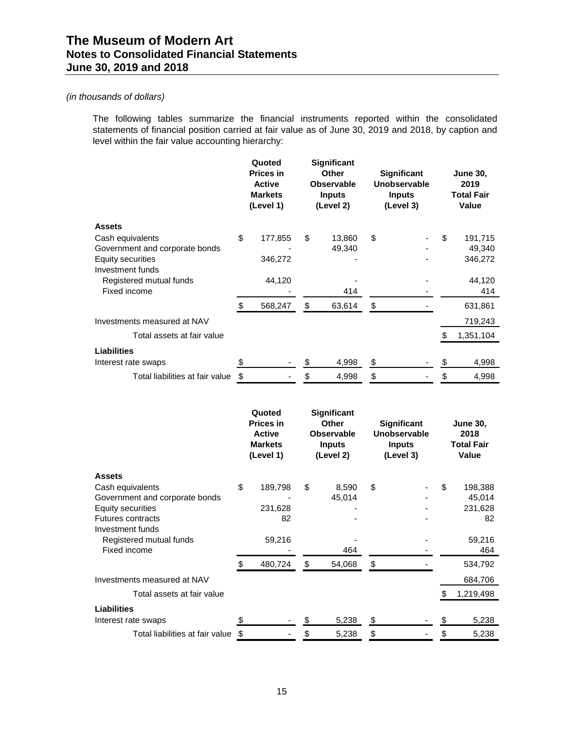### *(in thousands of dollars)*

The following tables summarize the financial instruments reported within the consolidated statements of financial position carried at fair value as of June 30, 2019 and 2018, by caption and level within the fair value accounting hierarchy:

|                                                                                                                                                 |                         | Quoted<br><b>Prices in</b><br><b>Active</b><br><b>Markets</b><br>(Level 1) | Significant<br>Other<br><b>Observable</b><br><b>Inputs</b><br>(Level 2) | Significant<br><b>Unobservable</b><br><b>Inputs</b><br>(Level 3) | <b>June 30,</b><br>2019<br><b>Total Fair</b><br>Value |                                                       |  |
|-------------------------------------------------------------------------------------------------------------------------------------------------|-------------------------|----------------------------------------------------------------------------|-------------------------------------------------------------------------|------------------------------------------------------------------|-------------------------------------------------------|-------------------------------------------------------|--|
| <b>Assets</b><br>Cash equivalents                                                                                                               | \$                      | 177,855                                                                    | \$<br>13,860                                                            | \$                                                               | \$                                                    | 191,715                                               |  |
| Government and corporate bonds                                                                                                                  |                         |                                                                            | 49,340                                                                  |                                                                  |                                                       | 49,340                                                |  |
| <b>Equity securities</b>                                                                                                                        |                         | 346,272                                                                    |                                                                         |                                                                  |                                                       | 346,272                                               |  |
| Investment funds<br>Registered mutual funds                                                                                                     |                         | 44,120                                                                     |                                                                         |                                                                  |                                                       | 44,120                                                |  |
| Fixed income                                                                                                                                    |                         |                                                                            | 414                                                                     |                                                                  |                                                       | 414                                                   |  |
|                                                                                                                                                 | \$                      | 568,247                                                                    | \$<br>63,614                                                            | \$                                                               |                                                       | 631,861                                               |  |
| Investments measured at NAV                                                                                                                     |                         |                                                                            |                                                                         |                                                                  |                                                       | 719,243                                               |  |
| Total assets at fair value                                                                                                                      |                         |                                                                            |                                                                         |                                                                  | \$                                                    | 1,351,104                                             |  |
| <b>Liabilities</b>                                                                                                                              |                         |                                                                            |                                                                         |                                                                  |                                                       |                                                       |  |
| Interest rate swaps                                                                                                                             | \$                      |                                                                            | \$<br>4,998                                                             | \$                                                               | \$                                                    | 4,998                                                 |  |
| Total liabilities at fair value                                                                                                                 | $\sqrt[6]{\frac{1}{2}}$ |                                                                            | \$<br>4,998                                                             | \$                                                               | \$                                                    | 4,998                                                 |  |
|                                                                                                                                                 |                         | Quoted<br><b>Prices in</b><br><b>Active</b><br><b>Markets</b><br>(Level 1) | Significant<br>Other<br><b>Observable</b><br><b>Inputs</b><br>(Level 2) | Significant<br>Unobservable<br><b>Inputs</b><br>(Level 3)        |                                                       | <b>June 30,</b><br>2018<br><b>Total Fair</b><br>Value |  |
| <b>Assets</b><br>Cash equivalents<br>Government and corporate bonds<br><b>Equity securities</b><br><b>Futures contracts</b><br>Investment funds | \$                      | 189,798<br>231,628<br>82                                                   | \$<br>8,590<br>45,014                                                   | \$                                                               | \$                                                    | 198,388<br>45,014<br>231,628<br>82                    |  |
| Registered mutual funds<br>Fixed income                                                                                                         |                         | 59,216                                                                     | 464                                                                     |                                                                  |                                                       | 59,216<br>464                                         |  |
|                                                                                                                                                 | \$                      | 480,724                                                                    | \$<br>54,068                                                            | \$                                                               |                                                       | 534,792                                               |  |
| Investments measured at NAV                                                                                                                     |                         |                                                                            |                                                                         |                                                                  |                                                       | 684,706                                               |  |
| Tatal against at fair unlug                                                                                                                     |                         |                                                                            |                                                                         |                                                                  | ሖ                                                     | 1.210.100                                             |  |

| Total assets at fair value         |                          |       |        | 1,219,498 |
|------------------------------------|--------------------------|-------|--------|-----------|
| Liabilities                        |                          |       |        |           |
| Interest rate swaps                | ۰.                       | 5.238 | $\sim$ | 5.238     |
| Total liabilities at fair value \$ | $\overline{\phantom{0}}$ | 5.238 | $\sim$ | 5,238     |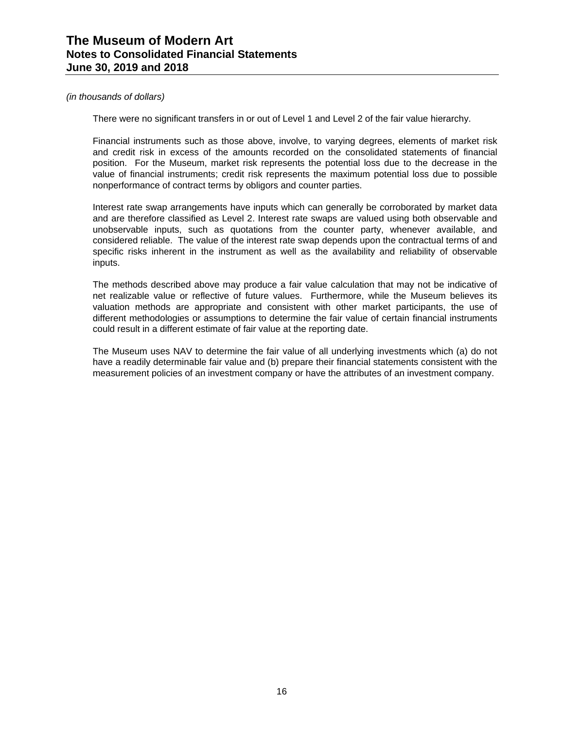There were no significant transfers in or out of Level 1 and Level 2 of the fair value hierarchy.

Financial instruments such as those above, involve, to varying degrees, elements of market risk and credit risk in excess of the amounts recorded on the consolidated statements of financial position. For the Museum, market risk represents the potential loss due to the decrease in the value of financial instruments; credit risk represents the maximum potential loss due to possible nonperformance of contract terms by obligors and counter parties.

Interest rate swap arrangements have inputs which can generally be corroborated by market data and are therefore classified as Level 2. Interest rate swaps are valued using both observable and unobservable inputs, such as quotations from the counter party, whenever available, and considered reliable. The value of the interest rate swap depends upon the contractual terms of and specific risks inherent in the instrument as well as the availability and reliability of observable inputs.

The methods described above may produce a fair value calculation that may not be indicative of net realizable value or reflective of future values. Furthermore, while the Museum believes its valuation methods are appropriate and consistent with other market participants, the use of different methodologies or assumptions to determine the fair value of certain financial instruments could result in a different estimate of fair value at the reporting date.

The Museum uses NAV to determine the fair value of all underlying investments which (a) do not have a readily determinable fair value and (b) prepare their financial statements consistent with the measurement policies of an investment company or have the attributes of an investment company.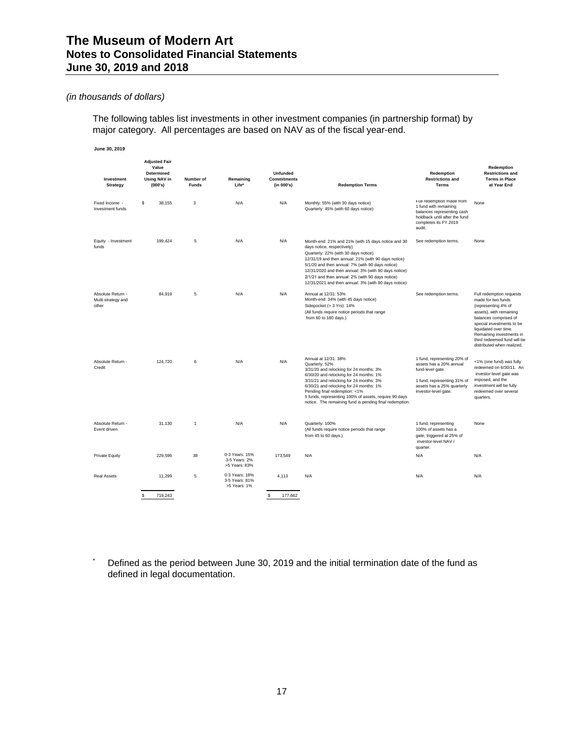### *(in thousands of dollars)*

The following tables list investments in other investment companies (in partnership format) by major category. All percentages are based on NAV as of the fiscal year-end.

| June 30, 2019                                    |                                                                               |                           |                                                  |   |                                                     |                                                                                                                                                                                                                                                                                                                                                                                                         |                                                                                                                                                                 |                                                                                                                                                                                                                                                                          |
|--------------------------------------------------|-------------------------------------------------------------------------------|---------------------------|--------------------------------------------------|---|-----------------------------------------------------|---------------------------------------------------------------------------------------------------------------------------------------------------------------------------------------------------------------------------------------------------------------------------------------------------------------------------------------------------------------------------------------------------------|-----------------------------------------------------------------------------------------------------------------------------------------------------------------|--------------------------------------------------------------------------------------------------------------------------------------------------------------------------------------------------------------------------------------------------------------------------|
| Investment<br><b>Strategy</b>                    | <b>Adjusted Fair</b><br>Value<br>Determined<br><b>Using NAV in</b><br>(000's) | Number of<br><b>Funds</b> | Remaining<br>Life*                               |   | <b>Unfunded</b><br><b>Commitments</b><br>(in 000's) | <b>Redemption Terms</b>                                                                                                                                                                                                                                                                                                                                                                                 | Redemption<br><b>Restrictions and</b><br>Terms                                                                                                                  | Redemption<br><b>Restrictions and</b><br><b>Terms in Place</b><br>at Year End                                                                                                                                                                                            |
| Fixed Income -<br>Investment funds               | \$<br>38,155                                                                  | 3                         | N/A                                              |   | N/A                                                 | Monthly: 55% (with 30 days notice)<br>Quarterly: 45% (with 60 days notice)                                                                                                                                                                                                                                                                                                                              | Full redemption made from<br>1 fund with remaining<br>balances representing cash<br>holdback until after the fund<br>completes its FY 2019<br>audit.            | None                                                                                                                                                                                                                                                                     |
| Equity - Investment<br>funds                     | 199,424                                                                       | 5                         | N/A                                              |   | N/A                                                 | Month-end: 21% and 21% (with 15 days notice and 30<br>days notice, respectively)<br>Quarterly: 22% (with 30 days notice)<br>12/31/19 and then annual: 21% (with 90 days notice)<br>5/1/20 and then annual: 7% (with 90 days notice)<br>12/31/2020 and then annual: 3% (with 90 days notice)<br>2/1/21 and then annual: 2% (with 90 days notice)<br>12/31/2021 and then annual: 3% (with 90 days notice) | See redemption terms.                                                                                                                                           | None                                                                                                                                                                                                                                                                     |
| Absolute Return -<br>Multi-strategy and<br>other | 84,919                                                                        | 5                         | N/A                                              |   | N/A                                                 | Annual at 12/31: 53%<br>Month-end: 34% (with 45 days notice)<br>Sidepocket (> 3 Yrs): 14%<br>(All funds require notice periods that range<br>from 60 to 180 days.)                                                                                                                                                                                                                                      | See redemption terms.                                                                                                                                           | Full redemption requests<br>made for two funds<br>(representing 4% of<br>assets), with remaining<br>balances comprised of<br>special investments to be<br>liquidated over time.<br>Remaining investments in<br>third redeemed fund will be<br>distributed when realized. |
| Absolute Return -<br>Credit                      | 124,720                                                                       | 6                         | N/A                                              |   | N/A                                                 | Annual at 12/31: 38%<br>Quarterly: 52%<br>3/31/20 and relocking for 24 months: 3%<br>6/30/20 and relocking for 24 months: 1%<br>3/31/21 and relocking for 24 months: 3%<br>6/30/21 and relocking for 24 months: 1%<br>Pending final redemption: <1%<br>5 funds, representing 100% of assets, require 90 days<br>notice. The remaining fund is pending final redemption.                                 | 1 fund, representing 20% of<br>assets has a 20% annual<br>fund-level gate.<br>1 fund, representing 31% of<br>assets has a 25% quarterly<br>investor-level gate. | <1% (one fund) was fully<br>redeemed on 6/30/11. An<br>investor-level gate was<br>imposed, and the<br>investment will be fully<br>redeemed over several<br>quarters.                                                                                                     |
| Absolute Return -<br>Event driven                | 31,130                                                                        | 1                         | N/A                                              |   | N/A                                                 | Quarterly: 100%<br>(All funds require notice periods that range<br>from 45 to 60 days.)                                                                                                                                                                                                                                                                                                                 | 1 fund, representing<br>100% of assets has a<br>gate, triggered at 25% of<br>investor-level NAV /<br>quarter.                                                   | None                                                                                                                                                                                                                                                                     |
| <b>Private Equity</b>                            | 229,596                                                                       | 38                        | 0-3 Years: 15%<br>3-5 Years: 2%<br>>5 Years: 83% |   | 173,549                                             | N/A                                                                                                                                                                                                                                                                                                                                                                                                     | N/A                                                                                                                                                             | N/A                                                                                                                                                                                                                                                                      |
| <b>Real Assets</b>                               | 11,299                                                                        | 5                         | 0-3 Years: 18%<br>3-5 Years: 81%<br>>5 Years: 1% |   | 4,113                                               | N/A                                                                                                                                                                                                                                                                                                                                                                                                     | N/A                                                                                                                                                             | N/A                                                                                                                                                                                                                                                                      |
|                                                  | \$<br>719.243                                                                 |                           |                                                  | s | 177.662                                             |                                                                                                                                                                                                                                                                                                                                                                                                         |                                                                                                                                                                 |                                                                                                                                                                                                                                                                          |

Defined as the period between June 30, 2019 and the initial termination date of the fund as defined in legal documentation.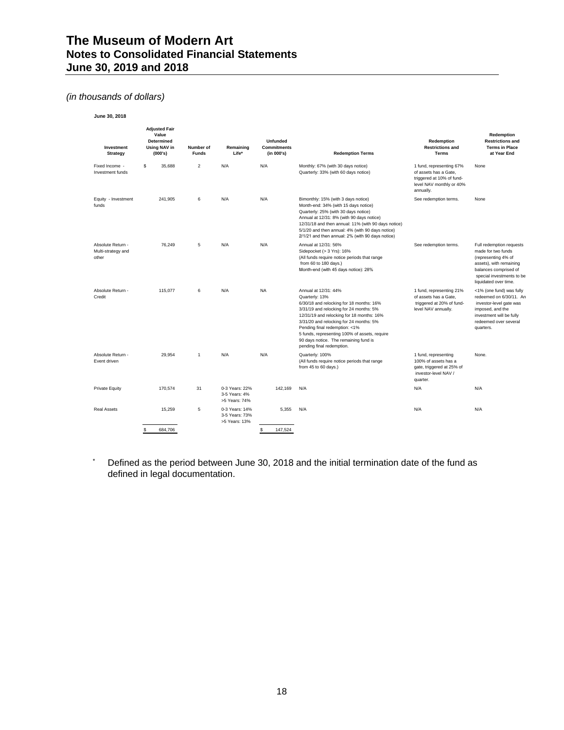### *(in thousands of dollars)*

**June 30, 2018**

| Investment<br>Strategy                           | <b>Adjusted Fair</b><br>Value<br><b>Determined</b><br><b>Using NAV in</b><br>(000's) | Number of<br><b>Funds</b> | Remaining<br>Life*                                |           | <b>Unfunded</b><br><b>Commitments</b><br>(in 000's) | <b>Redemption Terms</b>                                                                                                                                                                                                                                                                                                                                                       | Redemption<br><b>Restrictions and</b><br><b>Terms</b>                                                                   | Redemption<br><b>Restrictions and</b><br><b>Terms in Place</b><br>at Year End                                                                                                   |
|--------------------------------------------------|--------------------------------------------------------------------------------------|---------------------------|---------------------------------------------------|-----------|-----------------------------------------------------|-------------------------------------------------------------------------------------------------------------------------------------------------------------------------------------------------------------------------------------------------------------------------------------------------------------------------------------------------------------------------------|-------------------------------------------------------------------------------------------------------------------------|---------------------------------------------------------------------------------------------------------------------------------------------------------------------------------|
| Fixed Income -<br>Investment funds               | \$<br>35.688                                                                         | $\overline{2}$            | N/A                                               | N/A       |                                                     | Monthly: 67% (with 30 days notice)<br>Quarterly: 33% (with 60 days notice)                                                                                                                                                                                                                                                                                                    | 1 fund, representing 67%<br>of assets has a Gate.<br>triggered at 10% of fund-<br>level NAV monthly or 40%<br>annually. | None                                                                                                                                                                            |
| Equity - Investment<br>funds                     | 241,905                                                                              | 6                         | N/A                                               | N/A       |                                                     | Bimonthly: 15% (with 3 days notice)<br>Month-end: 34% (with 15 days notice)<br>Quarterly: 25% (with 30 days notice)<br>Annual at 12/31: 8% (with 90 days notice)<br>12/31/18 and then annual: 11% (with 90 days notice)<br>5/1/20 and then annual: 4% (with 90 days notice)<br>2/1/21 and then annual: 2% (with 90 days notice)                                               | See redemption terms.                                                                                                   | None                                                                                                                                                                            |
| Absolute Return -<br>Multi-strategy and<br>other | 76,249                                                                               | 5                         | N/A                                               | N/A       |                                                     | Annual at 12/31: 56%<br>Sidepocket (> 3 Yrs): 16%<br>(All funds require notice periods that range<br>from 60 to 180 days.)<br>Month-end (with 45 days notice): 28%                                                                                                                                                                                                            | See redemption terms.                                                                                                   | Full redemption requests<br>made for two funds<br>(representing 4% of<br>assets), with remaining<br>balances comprised of<br>special investments to be<br>liquidated over time. |
| Absolute Return -<br>Credit                      | 115,077                                                                              | 6                         | N/A                                               | <b>NA</b> |                                                     | Annual at 12/31: 44%<br>Quarterly: 13%<br>6/30/18 and relocking for 18 months: 16%<br>3/31/19 and relocking for 24 months: 5%<br>12/31/19 and relocking for 18 months: 16%<br>3/31/20 and relocking for 24 months: 5%<br>Pending final redemption: <1%<br>5 funds, representing 100% of assets, require<br>90 days notice. The remaining fund is<br>pending final redemption. | 1 fund, representing 21%<br>of assets has a Gate,<br>triggered at 20% of fund-<br>level NAV annually.                   | <1% (one fund) was fully<br>redeemed on 6/30/11. An<br>investor-level gate was<br>imposed, and the<br>investment will be fully<br>redeemed over several<br>quarters.            |
| Absolute Return -<br>Event driven                | 29,954                                                                               | $\overline{1}$            | N/A                                               | N/A       |                                                     | Quarterly: 100%<br>(All funds require notice periods that range<br>from 45 to 60 days.)                                                                                                                                                                                                                                                                                       | 1 fund, representing<br>100% of assets has a<br>gate, triggered at 25% of<br>investor-level NAV /<br>quarter.           | None.                                                                                                                                                                           |
| <b>Private Equity</b>                            | 170,574                                                                              | 31                        | 0-3 Years: 22%<br>3-5 Years: 4%<br>>5 Years: 74%  |           | 142,169                                             | N/A                                                                                                                                                                                                                                                                                                                                                                           | N/A                                                                                                                     | N/A                                                                                                                                                                             |
| <b>Real Assets</b>                               | 15,259                                                                               | 5                         | 0-3 Years: 14%<br>3-5 Years: 73%<br>>5 Years: 13% |           | 5.355                                               | N/A                                                                                                                                                                                                                                                                                                                                                                           | N/A                                                                                                                     | N/A                                                                                                                                                                             |
|                                                  | S.<br>684,706                                                                        |                           |                                                   | S         | 147,524                                             |                                                                                                                                                                                                                                                                                                                                                                               |                                                                                                                         |                                                                                                                                                                                 |

\* Defined as the period between June 30, 2018 and the initial termination date of the fund as defined in legal documentation.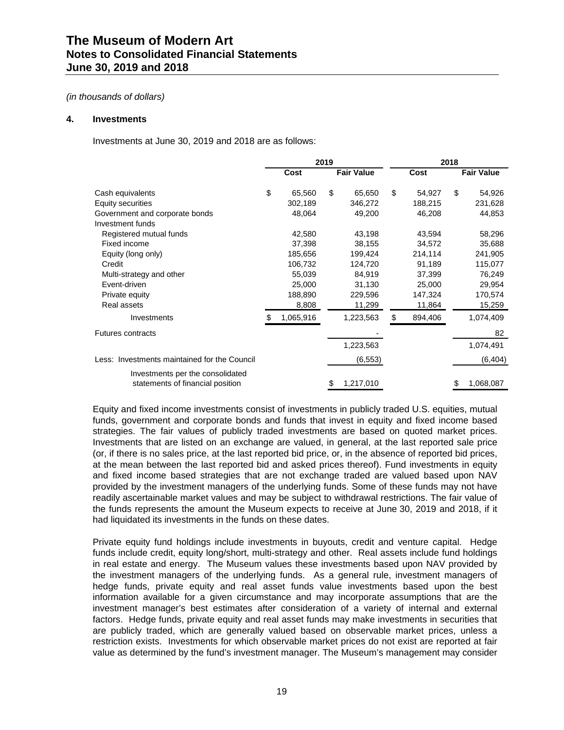### *(in thousands of dollars)*

#### **4. Investments**

Investments at June 30, 2019 and 2018 are as follows:

|                                                                      |    |           | 2019 |                   | 2018          |    |                   |  |
|----------------------------------------------------------------------|----|-----------|------|-------------------|---------------|----|-------------------|--|
|                                                                      |    | Cost      |      | <b>Fair Value</b> | Cost          |    | <b>Fair Value</b> |  |
| Cash equivalents                                                     | \$ | 65,560    | \$   | 65,650            | \$<br>54,927  | \$ | 54,926            |  |
| <b>Equity securities</b>                                             |    | 302,189   |      | 346,272           | 188,215       |    | 231,628           |  |
| Government and corporate bonds<br>Investment funds                   |    | 48,064    |      | 49,200            | 46,208        |    | 44,853            |  |
| Registered mutual funds                                              |    | 42,580    |      | 43,198            | 43,594        |    | 58,296            |  |
| Fixed income                                                         |    | 37,398    |      | 38,155            | 34,572        |    | 35,688            |  |
| Equity (long only)                                                   |    | 185,656   |      | 199,424           | 214,114       |    | 241,905           |  |
| Credit                                                               |    | 106,732   |      | 124,720           | 91,189        |    | 115,077           |  |
| Multi-strategy and other                                             |    | 55,039    |      | 84,919            | 37,399        |    | 76,249            |  |
| Event-driven                                                         |    | 25,000    |      | 31,130            | 25,000        |    | 29,954            |  |
| Private equity                                                       |    | 188,890   |      | 229,596           | 147,324       |    | 170,574           |  |
| Real assets                                                          |    | 8,808     |      | 11,299            | 11,864        |    | 15,259            |  |
| Investments                                                          | S  | 1,065,916 |      | 1,223,563         | \$<br>894,406 |    | 1,074,409         |  |
| <b>Futures contracts</b>                                             |    |           |      |                   |               |    | 82                |  |
|                                                                      |    |           |      | 1,223,563         |               |    | 1,074,491         |  |
| Less: Investments maintained for the Council                         |    |           |      | (6, 553)          |               |    | (6, 404)          |  |
| Investments per the consolidated<br>statements of financial position |    |           | S    | 1,217,010         |               | S  | 1,068,087         |  |

Equity and fixed income investments consist of investments in publicly traded U.S. equities, mutual funds, government and corporate bonds and funds that invest in equity and fixed income based strategies. The fair values of publicly traded investments are based on quoted market prices. Investments that are listed on an exchange are valued, in general, at the last reported sale price (or, if there is no sales price, at the last reported bid price, or, in the absence of reported bid prices, at the mean between the last reported bid and asked prices thereof). Fund investments in equity and fixed income based strategies that are not exchange traded are valued based upon NAV provided by the investment managers of the underlying funds. Some of these funds may not have readily ascertainable market values and may be subject to withdrawal restrictions. The fair value of the funds represents the amount the Museum expects to receive at June 30, 2019 and 2018, if it had liquidated its investments in the funds on these dates.

Private equity fund holdings include investments in buyouts, credit and venture capital. Hedge funds include credit, equity long/short, multi-strategy and other. Real assets include fund holdings in real estate and energy. The Museum values these investments based upon NAV provided by the investment managers of the underlying funds. As a general rule, investment managers of hedge funds, private equity and real asset funds value investments based upon the best information available for a given circumstance and may incorporate assumptions that are the investment manager's best estimates after consideration of a variety of internal and external factors. Hedge funds, private equity and real asset funds may make investments in securities that are publicly traded, which are generally valued based on observable market prices, unless a restriction exists. Investments for which observable market prices do not exist are reported at fair value as determined by the fund's investment manager. The Museum's management may consider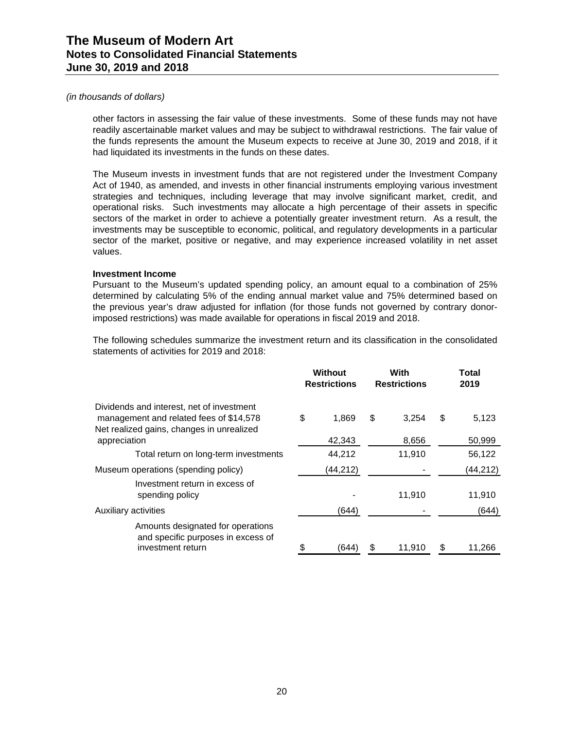### *(in thousands of dollars)*

other factors in assessing the fair value of these investments. Some of these funds may not have readily ascertainable market values and may be subject to withdrawal restrictions. The fair value of the funds represents the amount the Museum expects to receive at June 30, 2019 and 2018, if it had liquidated its investments in the funds on these dates.

The Museum invests in investment funds that are not registered under the Investment Company Act of 1940, as amended, and invests in other financial instruments employing various investment strategies and techniques, including leverage that may involve significant market, credit, and operational risks. Such investments may allocate a high percentage of their assets in specific sectors of the market in order to achieve a potentially greater investment return. As a result, the investments may be susceptible to economic, political, and regulatory developments in a particular sector of the market, positive or negative, and may experience increased volatility in net asset values.

#### **Investment Income**

Pursuant to the Museum's updated spending policy, an amount equal to a combination of 25% determined by calculating 5% of the ending annual market value and 75% determined based on the previous year's draw adjusted for inflation (for those funds not governed by contrary donorimposed restrictions) was made available for operations in fiscal 2019 and 2018.

The following schedules summarize the investment return and its classification in the consolidated statements of activities for 2019 and 2018:

|             |                                       | With   | Total<br>2019       |          |  |
|-------------|---------------------------------------|--------|---------------------|----------|--|
| \$<br>1.869 | \$                                    | 3.254  | \$                  | 5,123    |  |
| 42,343      |                                       | 8,656  |                     | 50,999   |  |
| 44,212      |                                       | 11,910 |                     | 56,122   |  |
| (44, 212)   |                                       |        |                     | (44,212) |  |
|             |                                       | 11,910 |                     | 11,910   |  |
| (644)       |                                       |        |                     | (644)    |  |
| (644        |                                       | 11,910 | \$                  | 11,266   |  |
|             | <b>Without</b><br><b>Restrictions</b> |        | <b>Restrictions</b> |          |  |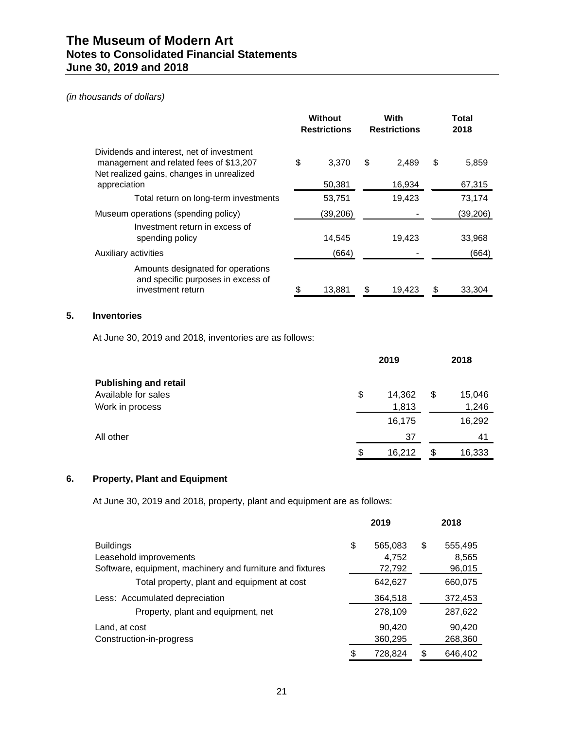### *(in thousands of dollars)*

|                                                                                                                                   | Without<br><b>Restrictions</b> |          | With<br><b>Restrictions</b> |        | <b>Total</b><br>2018 |
|-----------------------------------------------------------------------------------------------------------------------------------|--------------------------------|----------|-----------------------------|--------|----------------------|
| Dividends and interest, net of investment<br>management and related fees of \$13,207<br>Net realized gains, changes in unrealized | \$                             | 3.370    | \$                          | 2,489  | \$<br>5,859          |
| appreciation                                                                                                                      |                                | 50,381   |                             | 16,934 | 67,315               |
| Total return on long-term investments                                                                                             |                                | 53.751   |                             | 19,423 | 73.174               |
| Museum operations (spending policy)                                                                                               |                                | (39,206) |                             |        | (39, 206)            |
| Investment return in excess of<br>spending policy                                                                                 |                                | 14,545   |                             | 19,423 | 33,968               |
| Auxiliary activities                                                                                                              |                                | (664)    |                             |        | (664)                |
| Amounts designated for operations<br>and specific purposes in excess of<br>investment return                                      | \$                             | 13,881   |                             | 19,423 | \$<br>33,304         |

### **5. Inventories**

At June 30, 2019 and 2018, inventories are as follows:

|                              | 2019         |    |        |
|------------------------------|--------------|----|--------|
| <b>Publishing and retail</b> |              |    |        |
| Available for sales          | \$<br>14,362 | \$ | 15,046 |
| Work in process              | 1,813        |    | 1,246  |
|                              | 16,175       |    | 16,292 |
| All other                    | 37           |    | 41     |
|                              | \$<br>16,212 | \$ | 16,333 |

# **6. Property, Plant and Equipment**

At June 30, 2019 and 2018, property, plant and equipment are as follows:

|                                                           |    | 2019    |     | 2018    |
|-----------------------------------------------------------|----|---------|-----|---------|
| <b>Buildings</b>                                          | \$ | 565,083 | S   | 555,495 |
| Leasehold improvements                                    |    | 4,752   |     | 8.565   |
| Software, equipment, machinery and furniture and fixtures |    | 72,792  |     | 96,015  |
| Total property, plant and equipment at cost               |    | 642,627 |     | 660,075 |
| Less: Accumulated depreciation                            |    | 364,518 |     | 372,453 |
| Property, plant and equipment, net                        |    | 278,109 |     | 287,622 |
| Land, at cost                                             |    | 90.420  |     | 90.420  |
| Construction-in-progress                                  |    | 360,295 |     | 268,360 |
|                                                           | £. | 728,824 | \$. | 646,402 |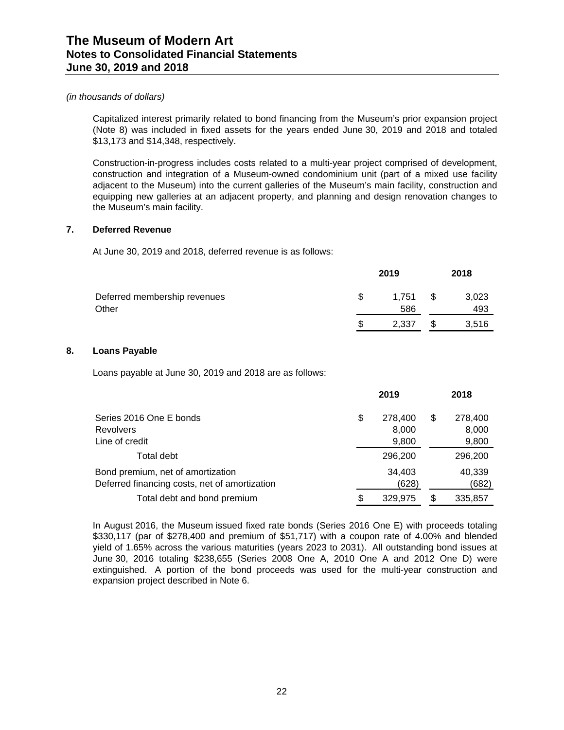Capitalized interest primarily related to bond financing from the Museum's prior expansion project (Note 8) was included in fixed assets for the years ended June 30, 2019 and 2018 and totaled \$13,173 and \$14,348, respectively.

Construction-in-progress includes costs related to a multi-year project comprised of development, construction and integration of a Museum-owned condominium unit (part of a mixed use facility adjacent to the Museum) into the current galleries of the Museum's main facility, construction and equipping new galleries at an adjacent property, and planning and design renovation changes to the Museum's main facility.

### **7. Deferred Revenue**

At June 30, 2019 and 2018, deferred revenue is as follows:

|                                       | 2019 |              |      | 2018         |  |  |
|---------------------------------------|------|--------------|------|--------------|--|--|
| Deferred membership revenues<br>Other | \$.  | 1.751<br>586 | - \$ | 3,023<br>493 |  |  |
|                                       | \$.  | 2,337        | \$   | 3,516        |  |  |

### **8. Loans Payable**

Loans payable at June 30, 2019 and 2018 are as follows:

|                                                                                    | 2019 |                           |   | 2018                      |
|------------------------------------------------------------------------------------|------|---------------------------|---|---------------------------|
| Series 2016 One E bonds<br><b>Revolvers</b><br>Line of credit                      | \$   | 278,400<br>8,000<br>9,800 | S | 278,400<br>8,000<br>9,800 |
| Total debt                                                                         |      | 296,200                   |   | 296,200                   |
| Bond premium, net of amortization<br>Deferred financing costs, net of amortization |      | 34,403<br>(628)           |   | 40,339<br>(682)           |
| Total debt and bond premium                                                        | \$   | 329.975                   |   | 335,857                   |

In August 2016, the Museum issued fixed rate bonds (Series 2016 One E) with proceeds totaling \$330,117 (par of \$278,400 and premium of \$51,717) with a coupon rate of 4.00% and blended yield of 1.65% across the various maturities (years 2023 to 2031). All outstanding bond issues at June 30, 2016 totaling \$238,655 (Series 2008 One A, 2010 One A and 2012 One D) were extinguished. A portion of the bond proceeds was used for the multi-year construction and expansion project described in Note 6.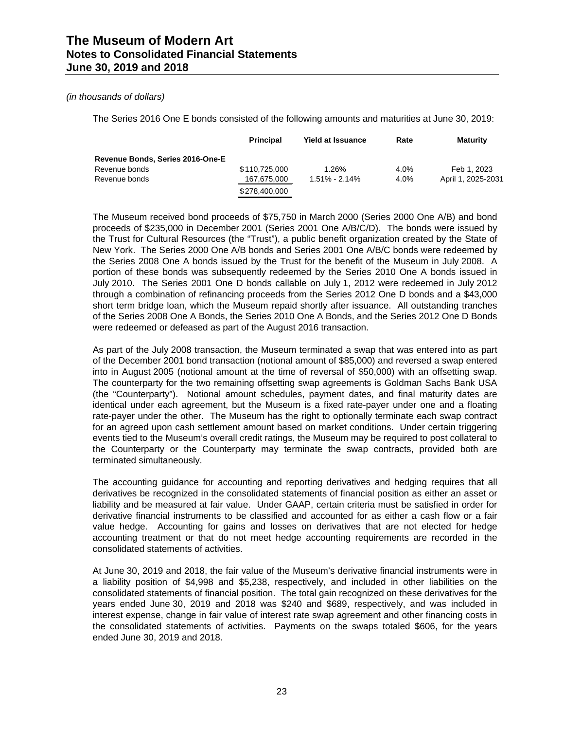The Series 2016 One E bonds consisted of the following amounts and maturities at June 30, 2019:

|                                  | <b>Principal</b> | <b>Yield at Issuance</b> | Rate | <b>Maturity</b>    |
|----------------------------------|------------------|--------------------------|------|--------------------|
| Revenue Bonds, Series 2016-One-E |                  |                          |      |                    |
| Revenue bonds                    | \$110,725,000    | 1.26%                    | 4.0% | Feb 1, 2023        |
| Revenue bonds                    | 167,675,000      | 1.51% - 2.14%            | 4.0% | April 1, 2025-2031 |
|                                  | \$278,400,000    |                          |      |                    |

The Museum received bond proceeds of \$75,750 in March 2000 (Series 2000 One A/B) and bond proceeds of \$235,000 in December 2001 (Series 2001 One A/B/C/D). The bonds were issued by the Trust for Cultural Resources (the "Trust"), a public benefit organization created by the State of New York. The Series 2000 One A/B bonds and Series 2001 One A/B/C bonds were redeemed by the Series 2008 One A bonds issued by the Trust for the benefit of the Museum in July 2008. A portion of these bonds was subsequently redeemed by the Series 2010 One A bonds issued in July 2010. The Series 2001 One D bonds callable on July 1, 2012 were redeemed in July 2012 through a combination of refinancing proceeds from the Series 2012 One D bonds and a \$43,000 short term bridge loan, which the Museum repaid shortly after issuance. All outstanding tranches of the Series 2008 One A Bonds, the Series 2010 One A Bonds, and the Series 2012 One D Bonds were redeemed or defeased as part of the August 2016 transaction.

As part of the July 2008 transaction, the Museum terminated a swap that was entered into as part of the December 2001 bond transaction (notional amount of \$85,000) and reversed a swap entered into in August 2005 (notional amount at the time of reversal of \$50,000) with an offsetting swap. The counterparty for the two remaining offsetting swap agreements is Goldman Sachs Bank USA (the "Counterparty"). Notional amount schedules, payment dates, and final maturity dates are identical under each agreement, but the Museum is a fixed rate-payer under one and a floating rate-payer under the other. The Museum has the right to optionally terminate each swap contract for an agreed upon cash settlement amount based on market conditions. Under certain triggering events tied to the Museum's overall credit ratings, the Museum may be required to post collateral to the Counterparty or the Counterparty may terminate the swap contracts, provided both are terminated simultaneously.

The accounting guidance for accounting and reporting derivatives and hedging requires that all derivatives be recognized in the consolidated statements of financial position as either an asset or liability and be measured at fair value. Under GAAP, certain criteria must be satisfied in order for derivative financial instruments to be classified and accounted for as either a cash flow or a fair value hedge. Accounting for gains and losses on derivatives that are not elected for hedge accounting treatment or that do not meet hedge accounting requirements are recorded in the consolidated statements of activities.

At June 30, 2019 and 2018, the fair value of the Museum's derivative financial instruments were in a liability position of \$4,998 and \$5,238, respectively, and included in other liabilities on the consolidated statements of financial position. The total gain recognized on these derivatives for the years ended June 30, 2019 and 2018 was \$240 and \$689, respectively, and was included in interest expense, change in fair value of interest rate swap agreement and other financing costs in the consolidated statements of activities. Payments on the swaps totaled \$606, for the years ended June 30, 2019 and 2018.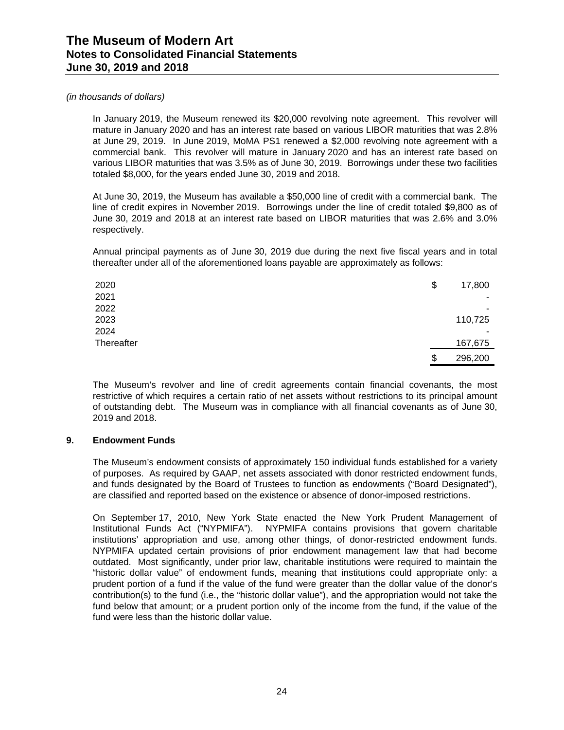### *(in thousands of dollars)*

In January 2019, the Museum renewed its \$20,000 revolving note agreement. This revolver will mature in January 2020 and has an interest rate based on various LIBOR maturities that was 2.8% at June 29, 2019. In June 2019, MoMA PS1 renewed a \$2,000 revolving note agreement with a commercial bank. This revolver will mature in January 2020 and has an interest rate based on various LIBOR maturities that was 3.5% as of June 30, 2019. Borrowings under these two facilities totaled \$8,000, for the years ended June 30, 2019 and 2018.

At June 30, 2019, the Museum has available a \$50,000 line of credit with a commercial bank. The line of credit expires in November 2019. Borrowings under the line of credit totaled \$9,800 as of June 30, 2019 and 2018 at an interest rate based on LIBOR maturities that was 2.6% and 3.0% respectively.

Annual principal payments as of June 30, 2019 due during the next five fiscal years and in total thereafter under all of the aforementioned loans payable are approximately as follows:

| 2020              | \$<br>17,800  |
|-------------------|---------------|
| 2021              | -             |
| 2022              | ۰             |
| 2023              | 110,725       |
| 2024              | -             |
| <b>Thereafter</b> | 167,675       |
|                   | \$<br>296,200 |

The Museum's revolver and line of credit agreements contain financial covenants, the most restrictive of which requires a certain ratio of net assets without restrictions to its principal amount of outstanding debt. The Museum was in compliance with all financial covenants as of June 30, 2019 and 2018.

### **9. Endowment Funds**

The Museum's endowment consists of approximately 150 individual funds established for a variety of purposes. As required by GAAP, net assets associated with donor restricted endowment funds, and funds designated by the Board of Trustees to function as endowments ("Board Designated"), are classified and reported based on the existence or absence of donor-imposed restrictions.

On September 17, 2010, New York State enacted the New York Prudent Management of Institutional Funds Act ("NYPMIFA"). NYPMIFA contains provisions that govern charitable institutions' appropriation and use, among other things, of donor-restricted endowment funds. NYPMIFA updated certain provisions of prior endowment management law that had become outdated. Most significantly, under prior law, charitable institutions were required to maintain the "historic dollar value" of endowment funds, meaning that institutions could appropriate only: a prudent portion of a fund if the value of the fund were greater than the dollar value of the donor's contribution(s) to the fund (i.e., the "historic dollar value"), and the appropriation would not take the fund below that amount; or a prudent portion only of the income from the fund, if the value of the fund were less than the historic dollar value.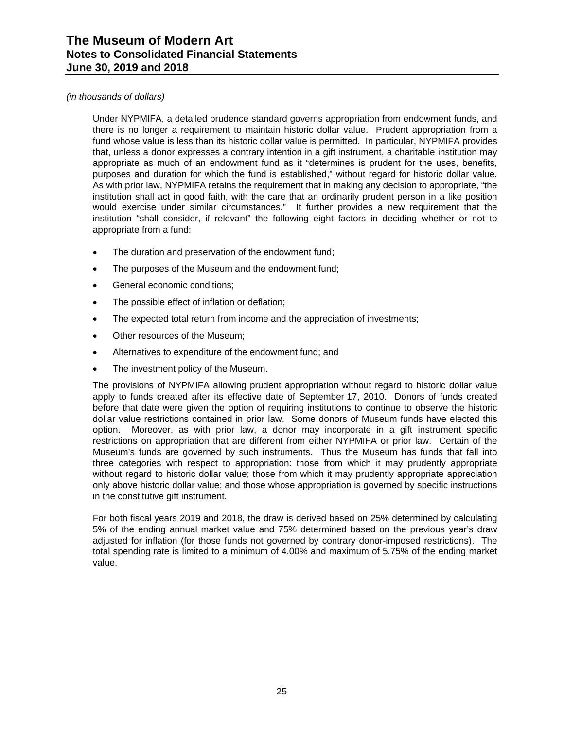### *(in thousands of dollars)*

Under NYPMIFA, a detailed prudence standard governs appropriation from endowment funds, and there is no longer a requirement to maintain historic dollar value. Prudent appropriation from a fund whose value is less than its historic dollar value is permitted. In particular, NYPMIFA provides that, unless a donor expresses a contrary intention in a gift instrument, a charitable institution may appropriate as much of an endowment fund as it "determines is prudent for the uses, benefits, purposes and duration for which the fund is established," without regard for historic dollar value. As with prior law, NYPMIFA retains the requirement that in making any decision to appropriate, "the institution shall act in good faith, with the care that an ordinarily prudent person in a like position would exercise under similar circumstances." It further provides a new requirement that the institution "shall consider, if relevant" the following eight factors in deciding whether or not to appropriate from a fund:

- The duration and preservation of the endowment fund;
- The purposes of the Museum and the endowment fund;
- General economic conditions;
- The possible effect of inflation or deflation;
- The expected total return from income and the appreciation of investments;
- Other resources of the Museum;
- Alternatives to expenditure of the endowment fund; and
- The investment policy of the Museum.

The provisions of NYPMIFA allowing prudent appropriation without regard to historic dollar value apply to funds created after its effective date of September 17, 2010. Donors of funds created before that date were given the option of requiring institutions to continue to observe the historic dollar value restrictions contained in prior law. Some donors of Museum funds have elected this option. Moreover, as with prior law, a donor may incorporate in a gift instrument specific restrictions on appropriation that are different from either NYPMIFA or prior law. Certain of the Museum's funds are governed by such instruments. Thus the Museum has funds that fall into three categories with respect to appropriation: those from which it may prudently appropriate without regard to historic dollar value; those from which it may prudently appropriate appreciation only above historic dollar value; and those whose appropriation is governed by specific instructions in the constitutive gift instrument.

For both fiscal years 2019 and 2018, the draw is derived based on 25% determined by calculating 5% of the ending annual market value and 75% determined based on the previous year's draw adjusted for inflation (for those funds not governed by contrary donor-imposed restrictions). The total spending rate is limited to a minimum of 4.00% and maximum of 5.75% of the ending market value.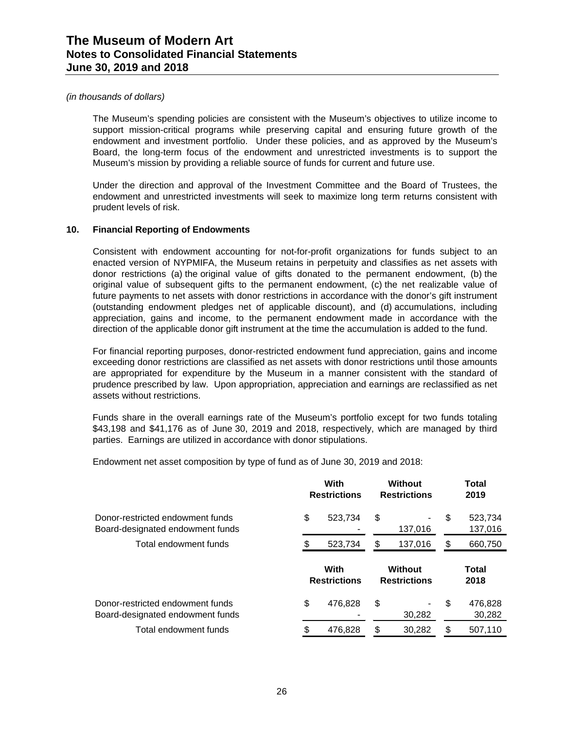The Museum's spending policies are consistent with the Museum's objectives to utilize income to support mission-critical programs while preserving capital and ensuring future growth of the endowment and investment portfolio. Under these policies, and as approved by the Museum's Board, the long-term focus of the endowment and unrestricted investments is to support the Museum's mission by providing a reliable source of funds for current and future use.

Under the direction and approval of the Investment Committee and the Board of Trustees, the endowment and unrestricted investments will seek to maximize long term returns consistent with prudent levels of risk.

### **10. Financial Reporting of Endowments**

Consistent with endowment accounting for not-for-profit organizations for funds subject to an enacted version of NYPMIFA, the Museum retains in perpetuity and classifies as net assets with donor restrictions (a) the original value of gifts donated to the permanent endowment, (b) the original value of subsequent gifts to the permanent endowment, (c) the net realizable value of future payments to net assets with donor restrictions in accordance with the donor's gift instrument (outstanding endowment pledges net of applicable discount), and (d) accumulations, including appreciation, gains and income, to the permanent endowment made in accordance with the direction of the applicable donor gift instrument at the time the accumulation is added to the fund.

For financial reporting purposes, donor-restricted endowment fund appreciation, gains and income exceeding donor restrictions are classified as net assets with donor restrictions until those amounts are appropriated for expenditure by the Museum in a manner consistent with the standard of prudence prescribed by law. Upon appropriation, appreciation and earnings are reclassified as net assets without restrictions.

Funds share in the overall earnings rate of the Museum's portfolio except for two funds totaling \$43,198 and \$41,176 as of June 30, 2019 and 2018, respectively, which are managed by third parties. Earnings are utilized in accordance with donor stipulations.

Endowment net asset composition by type of fund as of June 30, 2019 and 2018:

|                                                                      | With<br><b>Restrictions</b> |    | Without<br><b>Restrictions</b>        |    | Total<br>2019        |  |
|----------------------------------------------------------------------|-----------------------------|----|---------------------------------------|----|----------------------|--|
| Donor-restricted endowment funds<br>Board-designated endowment funds | \$<br>523,734               | \$ | -<br>137,016                          | \$ | 523,734<br>137,016   |  |
| Total endowment funds                                                | 523,734                     | \$ | 137,016                               | \$ | 660,750              |  |
|                                                                      | With                        |    | <b>Without</b><br><b>Restrictions</b> |    | <b>Total</b><br>2018 |  |
|                                                                      | <b>Restrictions</b>         |    |                                       |    |                      |  |
| Donor-restricted endowment funds<br>Board-designated endowment funds | \$<br>476,828               | \$ | -<br>30,282                           | \$ | 476,828<br>30,282    |  |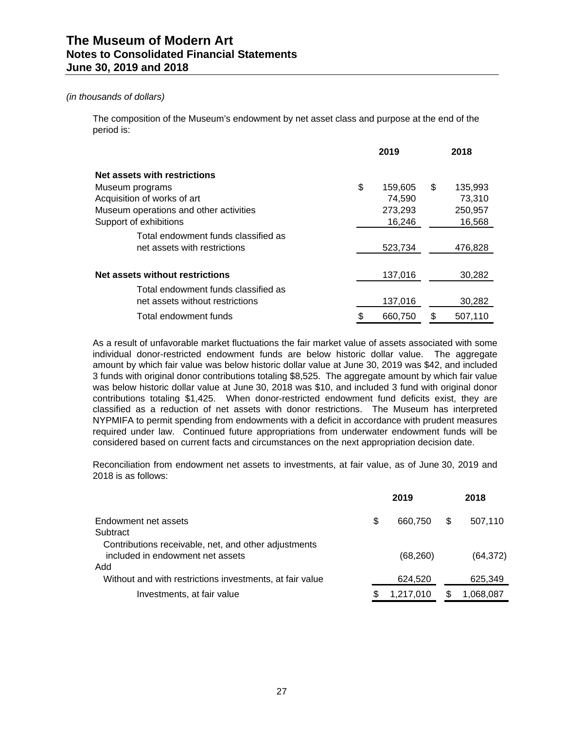The composition of the Museum's endowment by net asset class and purpose at the end of the period is:

|                                        | 2019 |         |    | 2018    |
|----------------------------------------|------|---------|----|---------|
| Net assets with restrictions           |      |         |    |         |
| Museum programs                        | \$   | 159,605 | \$ | 135,993 |
| Acquisition of works of art            |      | 74,590  |    | 73,310  |
| Museum operations and other activities |      | 273,293 |    | 250,957 |
| Support of exhibitions                 |      | 16,246  |    | 16,568  |
| Total endowment funds classified as    |      |         |    |         |
| net assets with restrictions           |      | 523,734 |    | 476,828 |
|                                        |      |         |    |         |
| Net assets without restrictions        |      | 137,016 |    | 30,282  |
| Total endowment funds classified as    |      |         |    |         |
| net assets without restrictions        |      | 137,016 |    | 30,282  |
| Total endowment funds                  | \$   | 660.750 | \$ | 507,110 |

As a result of unfavorable market fluctuations the fair market value of assets associated with some individual donor-restricted endowment funds are below historic dollar value. The aggregate amount by which fair value was below historic dollar value at June 30, 2019 was \$42, and included 3 funds with original donor contributions totaling \$8,525. The aggregate amount by which fair value was below historic dollar value at June 30, 2018 was \$10, and included 3 fund with original donor contributions totaling \$1,425. When donor-restricted endowment fund deficits exist, they are classified as a reduction of net assets with donor restrictions. The Museum has interpreted NYPMIFA to permit spending from endowments with a deficit in accordance with prudent measures required under law. Continued future appropriations from underwater endowment funds will be considered based on current facts and circumstances on the next appropriation decision date.

Reconciliation from endowment net assets to investments, at fair value, as of June 30, 2019 and 2018 is as follows:

| 507,110   |
|-----------|
|           |
| (64, 372) |
|           |
| 625.349   |
| 1,068,087 |
|           |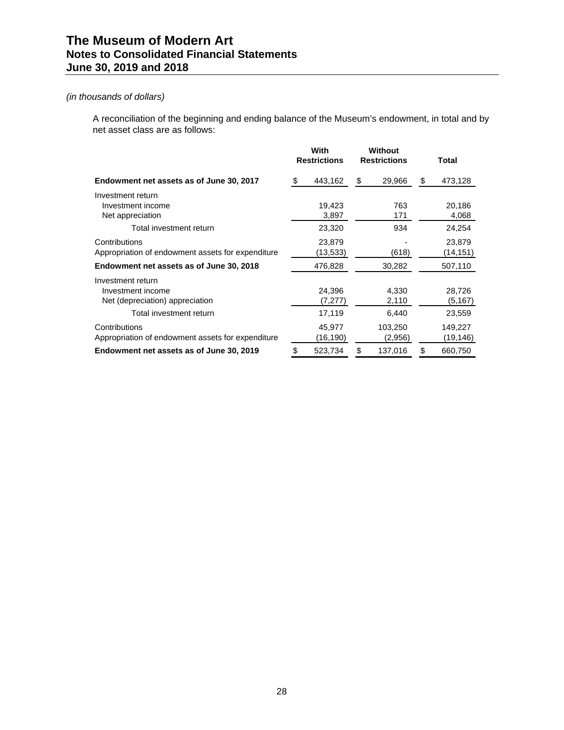A reconciliation of the beginning and ending balance of the Museum's endowment, in total and by net asset class are as follows:

|                                                                                                                |    | With<br><b>Restrictions</b>   | Without<br><b>Restrictions</b>      | Total                                 |
|----------------------------------------------------------------------------------------------------------------|----|-------------------------------|-------------------------------------|---------------------------------------|
| Endowment net assets as of June 30, 2017                                                                       | S. | 443,162                       | \$<br>29,966                        | \$<br>473,128                         |
| Investment return<br>Investment income                                                                         |    | 19,423                        | 763<br>171                          | 20,186                                |
| Net appreciation<br>Total investment return                                                                    |    | 3,897<br>23,320               | 934                                 | 4,068<br>24,254                       |
| Contributions<br>Appropriation of endowment assets for expenditure                                             |    | 23,879<br>(13, 533)           | (618)                               | 23,879<br>(14,151)                    |
| Endowment net assets as of June 30, 2018                                                                       |    | 476,828                       | 30,282                              | 507,110                               |
| Investment return<br>Investment income<br>Net (depreciation) appreciation<br>Total investment return           |    | 24,396<br>(7, 277)<br>17,119  | 4,330<br>2,110<br>6,440             | 28,726<br>(5, 167)<br>23,559          |
| Contributions<br>Appropriation of endowment assets for expenditure<br>Endowment net assets as of June 30, 2019 | \$ | 45,977<br>(16,190)<br>523,734 | \$<br>103,250<br>(2,956)<br>137,016 | \$<br>149,227<br>(19, 146)<br>660,750 |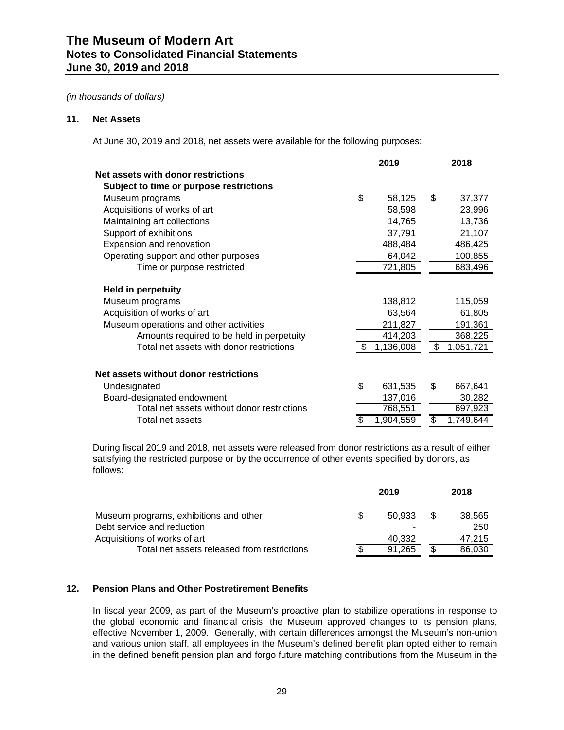### **11. Net Assets**

At June 30, 2019 and 2018, net assets were available for the following purposes:

| 2019 |           |                           | 2018      |
|------|-----------|---------------------------|-----------|
|      |           |                           |           |
|      |           |                           |           |
| \$   | 58,125    | \$                        | 37,377    |
|      | 58,598    |                           | 23,996    |
|      | 14,765    |                           | 13,736    |
|      | 37,791    |                           | 21,107    |
|      | 488,484   |                           | 486,425   |
|      | 64,042    |                           | 100,855   |
|      | 721,805   |                           | 683,496   |
|      |           |                           |           |
|      | 138,812   |                           | 115,059   |
|      | 63,564    |                           | 61,805    |
|      | 211,827   |                           | 191,361   |
|      | 414,203   |                           | 368,225   |
| \$.  | 1,136,008 | $\boldsymbol{\mathsf{S}}$ | 1,051,721 |
|      |           |                           |           |
| \$   | 631,535   | \$                        | 667,641   |
|      | 137,016   |                           | 30,282    |
|      | 768,551   |                           | 697,923   |
|      | 1,904,559 |                           | 1,749,644 |
|      |           |                           |           |

During fiscal 2019 and 2018, net assets were released from donor restrictions as a result of either satisfying the restricted purpose or by the occurrence of other events specified by donors, as follows:

|                                             | 2019   |     | 2018   |
|---------------------------------------------|--------|-----|--------|
| Museum programs, exhibitions and other      | 50.933 | \$. | 38,565 |
| Debt service and reduction                  |        |     | 250    |
| Acquisitions of works of art                | 40,332 |     | 47.215 |
| Total net assets released from restrictions | 91.265 | S   | 86.030 |

### **12. Pension Plans and Other Postretirement Benefits**

In fiscal year 2009, as part of the Museum's proactive plan to stabilize operations in response to the global economic and financial crisis, the Museum approved changes to its pension plans, effective November 1, 2009. Generally, with certain differences amongst the Museum's non-union and various union staff, all employees in the Museum's defined benefit plan opted either to remain in the defined benefit pension plan and forgo future matching contributions from the Museum in the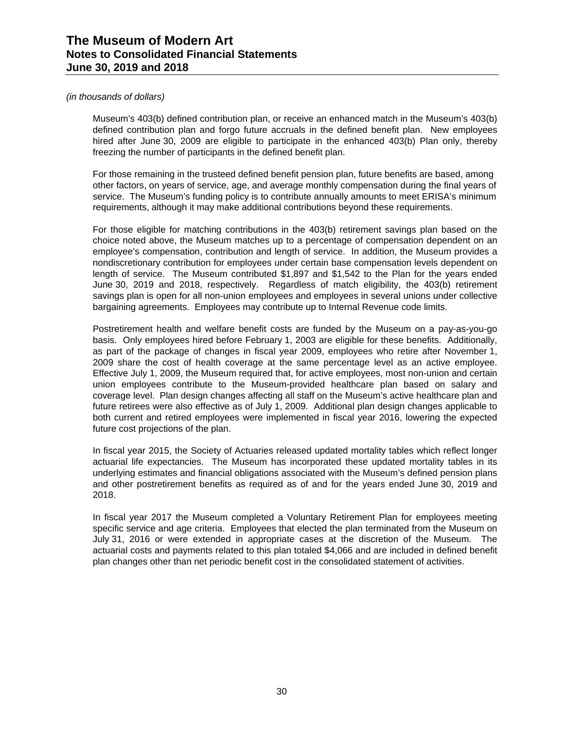### *(in thousands of dollars)*

Museum's 403(b) defined contribution plan, or receive an enhanced match in the Museum's 403(b) defined contribution plan and forgo future accruals in the defined benefit plan. New employees hired after June 30, 2009 are eligible to participate in the enhanced 403(b) Plan only, thereby freezing the number of participants in the defined benefit plan.

For those remaining in the trusteed defined benefit pension plan, future benefits are based, among other factors, on years of service, age, and average monthly compensation during the final years of service. The Museum's funding policy is to contribute annually amounts to meet ERISA's minimum requirements, although it may make additional contributions beyond these requirements.

For those eligible for matching contributions in the 403(b) retirement savings plan based on the choice noted above, the Museum matches up to a percentage of compensation dependent on an employee's compensation, contribution and length of service. In addition, the Museum provides a nondiscretionary contribution for employees under certain base compensation levels dependent on length of service. The Museum contributed \$1,897 and \$1,542 to the Plan for the years ended June 30, 2019 and 2018, respectively. Regardless of match eligibility, the 403(b) retirement savings plan is open for all non-union employees and employees in several unions under collective bargaining agreements. Employees may contribute up to Internal Revenue code limits.

Postretirement health and welfare benefit costs are funded by the Museum on a pay-as-you-go basis. Only employees hired before February 1, 2003 are eligible for these benefits. Additionally, as part of the package of changes in fiscal year 2009, employees who retire after November 1, 2009 share the cost of health coverage at the same percentage level as an active employee. Effective July 1, 2009, the Museum required that, for active employees, most non-union and certain union employees contribute to the Museum-provided healthcare plan based on salary and coverage level. Plan design changes affecting all staff on the Museum's active healthcare plan and future retirees were also effective as of July 1, 2009. Additional plan design changes applicable to both current and retired employees were implemented in fiscal year 2016, lowering the expected future cost projections of the plan.

In fiscal year 2015, the Society of Actuaries released updated mortality tables which reflect longer actuarial life expectancies. The Museum has incorporated these updated mortality tables in its underlying estimates and financial obligations associated with the Museum's defined pension plans and other postretirement benefits as required as of and for the years ended June 30, 2019 and 2018.

In fiscal year 2017 the Museum completed a Voluntary Retirement Plan for employees meeting specific service and age criteria. Employees that elected the plan terminated from the Museum on July 31, 2016 or were extended in appropriate cases at the discretion of the Museum. The actuarial costs and payments related to this plan totaled \$4,066 and are included in defined benefit plan changes other than net periodic benefit cost in the consolidated statement of activities.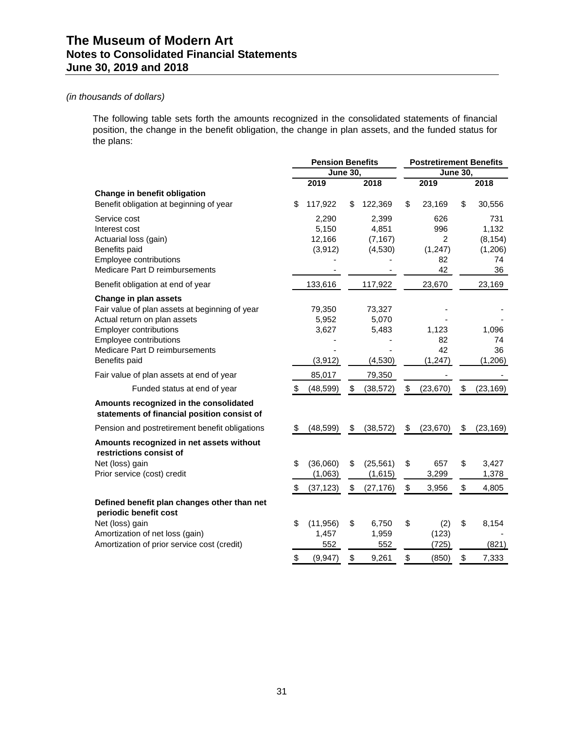### *(in thousands of dollars)*

The following table sets forth the amounts recognized in the consolidated statements of financial position, the change in the benefit obligation, the change in plan assets, and the funded status for the plans:

|                                                                                       | <b>Pension Benefits</b> |           |    | <b>Postretirement Benefits</b> |    |           |    |           |
|---------------------------------------------------------------------------------------|-------------------------|-----------|----|--------------------------------|----|-----------|----|-----------|
|                                                                                       | <b>June 30,</b>         |           |    | <b>June 30,</b>                |    |           |    |           |
|                                                                                       |                         | 2019      |    | 2018                           |    | 2019      |    | 2018      |
| Change in benefit obligation                                                          |                         |           |    |                                |    |           |    |           |
| Benefit obligation at beginning of year                                               | \$                      | 117,922   | \$ | 122,369                        | \$ | 23,169    | \$ | 30,556    |
| Service cost                                                                          |                         | 2,290     |    | 2,399                          |    | 626       |    | 731       |
| Interest cost                                                                         |                         | 5,150     |    | 4,851                          |    | 996       |    | 1,132     |
| Actuarial loss (gain)                                                                 |                         | 12,166    |    | (7, 167)                       |    | 2         |    | (8, 154)  |
| Benefits paid                                                                         |                         | (3,912)   |    | (4,530)                        |    | (1, 247)  |    | (1,206)   |
| Employee contributions                                                                |                         |           |    |                                |    | 82        |    | 74        |
| Medicare Part D reimbursements                                                        |                         |           |    |                                |    | 42        |    | 36        |
| Benefit obligation at end of year                                                     |                         | 133,616   |    | 117,922                        |    | 23,670    |    | 23,169    |
| Change in plan assets                                                                 |                         |           |    |                                |    |           |    |           |
| Fair value of plan assets at beginning of year                                        |                         | 79,350    |    | 73,327                         |    |           |    |           |
| Actual return on plan assets                                                          |                         | 5,952     |    | 5,070                          |    |           |    |           |
| <b>Employer contributions</b>                                                         |                         | 3,627     |    | 5,483                          |    | 1,123     |    | 1,096     |
| Employee contributions                                                                |                         |           |    |                                |    | 82        |    | 74        |
| Medicare Part D reimbursements                                                        |                         |           |    |                                |    | 42        |    | 36        |
| Benefits paid                                                                         |                         | (3, 912)  |    | (4,530)                        |    | (1, 247)  |    | (1, 206)  |
| Fair value of plan assets at end of year                                              |                         | 85,017    |    | 79,350                         |    |           |    |           |
| Funded status at end of year                                                          |                         | (48, 599) | \$ | (38, 572)                      | \$ | (23, 670) | \$ | (23, 169) |
| Amounts recognized in the consolidated<br>statements of financial position consist of |                         |           |    |                                |    |           |    |           |
| Pension and postretirement benefit obligations                                        | \$                      | (48, 599) | \$ | (38, 572)                      | \$ | (23, 670) | \$ | (23, 169) |
| Amounts recognized in net assets without<br>restrictions consist of                   |                         |           |    |                                |    |           |    |           |
| Net (loss) gain                                                                       | \$                      | (36,060)  | \$ | (25, 561)                      | \$ | 657       | \$ | 3,427     |
| Prior service (cost) credit                                                           |                         | (1,063)   |    | (1,615)                        |    | 3,299     |    | 1,378     |
|                                                                                       | \$                      | (37, 123) | \$ | (27, 176)                      | \$ | 3,956     | \$ | 4,805     |
| Defined benefit plan changes other than net<br>periodic benefit cost                  |                         |           |    |                                |    |           |    |           |
| Net (loss) gain                                                                       | \$                      | (11, 956) | \$ | 6,750                          | \$ | (2)       | \$ | 8,154     |
| Amortization of net loss (gain)                                                       |                         | 1,457     |    | 1,959                          |    | (123)     |    |           |
| Amortization of prior service cost (credit)                                           |                         | 552       |    | 552                            |    | (725)     |    | (821)     |
|                                                                                       | \$                      | (9, 947)  | \$ | 9,261                          | \$ | (850)     | \$ | 7,333     |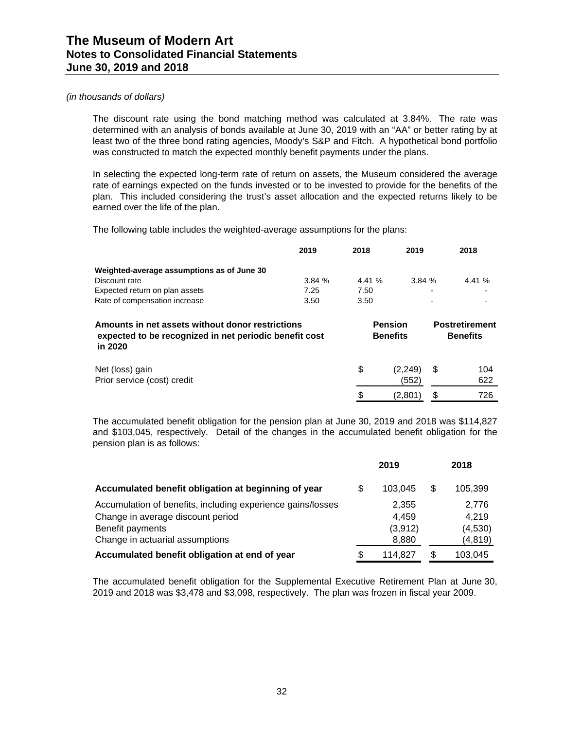The discount rate using the bond matching method was calculated at 3.84%. The rate was determined with an analysis of bonds available at June 30, 2019 with an "AA" or better rating by at least two of the three bond rating agencies, Moody's S&P and Fitch. A hypothetical bond portfolio was constructed to match the expected monthly benefit payments under the plans.

In selecting the expected long-term rate of return on assets, the Museum considered the average rate of earnings expected on the funds invested or to be invested to provide for the benefits of the plan. This included considering the trust's asset allocation and the expected returns likely to be earned over the life of the plan.

The following table includes the weighted-average assumptions for the plans:

|                                                                                                                       | 2019  | 2018  | 2019                              |   | 2018                                     |
|-----------------------------------------------------------------------------------------------------------------------|-------|-------|-----------------------------------|---|------------------------------------------|
| Weighted-average assumptions as of June 30                                                                            |       |       |                                   |   |                                          |
| Discount rate                                                                                                         | 3.84% | 4.41% | 3.84%                             |   | 4.41%                                    |
| Expected return on plan assets                                                                                        | 7.25  | 7.50  |                                   |   |                                          |
| Rate of compensation increase                                                                                         | 3.50  | 3.50  |                                   |   |                                          |
| Amounts in net assets without donor restrictions<br>expected to be recognized in net periodic benefit cost<br>in 2020 |       |       | <b>Pension</b><br><b>Benefits</b> |   | <b>Postretirement</b><br><b>Benefits</b> |
| Net (loss) gain<br>Prior service (cost) credit                                                                        |       | \$    | (2,249)<br>(552)                  | S | 104<br>622                               |
|                                                                                                                       |       | \$    | (2,801)                           | S | 726                                      |

The accumulated benefit obligation for the pension plan at June 30, 2019 and 2018 was \$114,827 and \$103,045, respectively. Detail of the changes in the accumulated benefit obligation for the pension plan is as follows:

|                                                             |   | 2019    |   | 2018     |
|-------------------------------------------------------------|---|---------|---|----------|
| Accumulated benefit obligation at beginning of year         | S | 103.045 | S | 105,399  |
| Accumulation of benefits, including experience gains/losses |   | 2,355   |   | 2,776    |
| Change in average discount period                           |   | 4.459   |   | 4.219    |
| Benefit payments                                            |   | (3,912) |   | (4,530)  |
| Change in actuarial assumptions                             |   | 8,880   |   | (4, 819) |
| Accumulated benefit obligation at end of year               | S | 114.827 |   | 103,045  |

The accumulated benefit obligation for the Supplemental Executive Retirement Plan at June 30, 2019 and 2018 was \$3,478 and \$3,098, respectively. The plan was frozen in fiscal year 2009.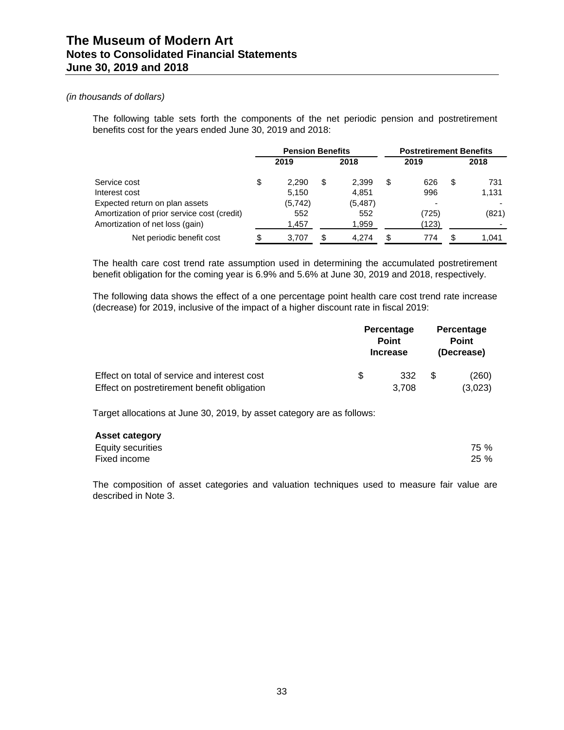### *(in thousands of dollars)*

The following table sets forth the components of the net periodic pension and postretirement benefits cost for the years ended June 30, 2019 and 2018:

|                                             | <b>Pension Benefits</b> |   |          |   |       | <b>Postretirement Benefits</b> |       |  |
|---------------------------------------------|-------------------------|---|----------|---|-------|--------------------------------|-------|--|
|                                             | 2019                    |   | 2018     |   | 2019  |                                | 2018  |  |
| Service cost                                | \$<br>2.290             | S | 2.399    | S | 626   | S                              | 731   |  |
| Interest cost                               | 5,150                   |   | 4,851    |   | 996   |                                | 1,131 |  |
| Expected return on plan assets              | (5,742)                 |   | (5, 487) |   |       |                                |       |  |
| Amortization of prior service cost (credit) | 552                     |   | 552      |   | (725) |                                | (821) |  |
| Amortization of net loss (gain)             | 1,457                   |   | 1,959    |   | (123) |                                |       |  |
| Net periodic benefit cost                   | 3.707                   |   | 4.274    |   | 774   |                                | 1.041 |  |

The health care cost trend rate assumption used in determining the accumulated postretirement benefit obligation for the coming year is 6.9% and 5.6% at June 30, 2019 and 2018, respectively.

The following data shows the effect of a one percentage point health care cost trend rate increase (decrease) for 2019, inclusive of the impact of a higher discount rate in fiscal 2019:

|                                              | Percentage<br><b>Point</b><br><b>Increase</b> |       | Percentage<br><b>Point</b><br>(Decrease) |         |  |
|----------------------------------------------|-----------------------------------------------|-------|------------------------------------------|---------|--|
| Effect on total of service and interest cost | \$.                                           | 332   | \$.                                      | (260)   |  |
| Effect on postretirement benefit obligation  |                                               | 3,708 |                                          | (3,023) |  |

Target allocations at June 30, 2019, by asset category are as follows:

| <b>Asset category</b> |
|-----------------------|
|-----------------------|

| Equity securities | 75 % |
|-------------------|------|
| Fixed income      | 25 % |

The composition of asset categories and valuation techniques used to measure fair value are described in Note 3.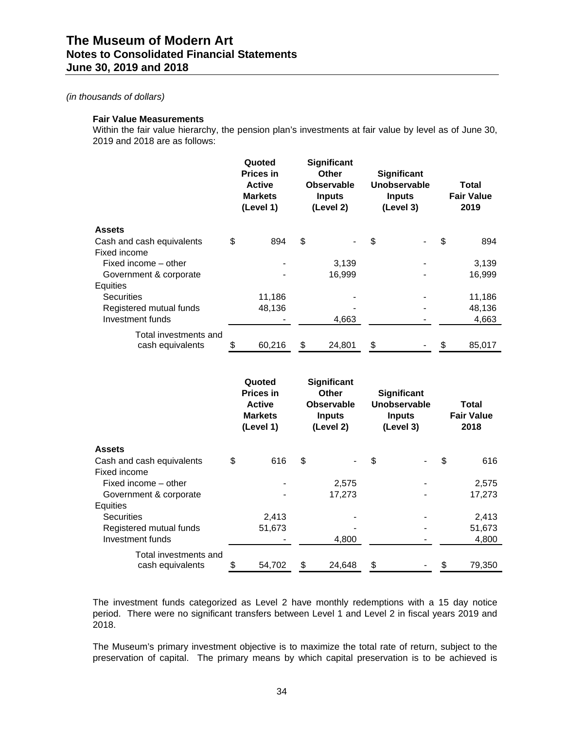#### **Fair Value Measurements**

Within the fair value hierarchy, the pension plan's investments at fair value by level as of June 30, 2019 and 2018 are as follows:

|                           | Quoted<br><b>Prices in</b><br><b>Active</b><br><b>Markets</b><br>(Level 1) | <b>Significant</b><br><b>Other</b><br><b>Observable</b><br><b>Inputs</b><br>(Level 2) |        | <b>Significant</b><br>Unobservable<br><b>Inputs</b><br>(Level 3) |  |    |        | <b>Total</b><br><b>Fair Value</b><br>2019 |
|---------------------------|----------------------------------------------------------------------------|---------------------------------------------------------------------------------------|--------|------------------------------------------------------------------|--|----|--------|-------------------------------------------|
| <b>Assets</b>             |                                                                            |                                                                                       |        |                                                                  |  |    |        |                                           |
| Cash and cash equivalents | \$<br>894                                                                  | \$                                                                                    |        | \$                                                               |  | \$ | 894    |                                           |
| Fixed income              |                                                                            |                                                                                       |        |                                                                  |  |    |        |                                           |
| Fixed income – other      |                                                                            |                                                                                       | 3,139  |                                                                  |  |    | 3,139  |                                           |
| Government & corporate    |                                                                            |                                                                                       | 16,999 |                                                                  |  |    | 16,999 |                                           |
| Equities                  |                                                                            |                                                                                       |        |                                                                  |  |    |        |                                           |
| <b>Securities</b>         | 11,186                                                                     |                                                                                       |        |                                                                  |  |    | 11,186 |                                           |
| Registered mutual funds   | 48,136                                                                     |                                                                                       |        |                                                                  |  |    | 48,136 |                                           |
| Investment funds          |                                                                            |                                                                                       | 4,663  |                                                                  |  |    | 4,663  |                                           |
| Total investments and     |                                                                            |                                                                                       |        |                                                                  |  |    |        |                                           |
| cash equivalents          | \$<br>60,216                                                               | \$                                                                                    | 24,801 | \$                                                               |  | \$ | 85,017 |                                           |

|                           | Quoted<br><b>Prices in</b><br><b>Active</b><br><b>Markets</b><br>(Level 1) |    | <b>Significant</b><br>Other<br><b>Observable</b><br><b>Inputs</b><br>(Level 2) |    | <b>Significant</b><br>Unobservable<br><b>Inputs</b><br>(Level 3) |    | Total<br><b>Fair Value</b><br>2018 |  |
|---------------------------|----------------------------------------------------------------------------|----|--------------------------------------------------------------------------------|----|------------------------------------------------------------------|----|------------------------------------|--|
| Assets                    |                                                                            |    |                                                                                |    |                                                                  |    |                                    |  |
| Cash and cash equivalents | \$<br>616                                                                  | \$ |                                                                                | \$ |                                                                  | \$ | 616                                |  |
| Fixed income              |                                                                            |    |                                                                                |    |                                                                  |    |                                    |  |
| Fixed income – other      |                                                                            |    | 2,575                                                                          |    |                                                                  |    | 2,575                              |  |
| Government & corporate    |                                                                            |    | 17,273                                                                         |    |                                                                  |    | 17,273                             |  |
| Equities                  |                                                                            |    |                                                                                |    |                                                                  |    |                                    |  |
| <b>Securities</b>         | 2,413                                                                      |    |                                                                                |    |                                                                  |    | 2,413                              |  |
| Registered mutual funds   | 51,673                                                                     |    |                                                                                |    |                                                                  |    | 51,673                             |  |
| Investment funds          |                                                                            |    | 4,800                                                                          |    |                                                                  |    | 4,800                              |  |
| Total investments and     |                                                                            |    |                                                                                |    |                                                                  |    |                                    |  |
| cash equivalents          | \$<br>54,702                                                               | \$ | 24,648                                                                         | \$ |                                                                  | \$ | 79,350                             |  |

The investment funds categorized as Level 2 have monthly redemptions with a 15 day notice period. There were no significant transfers between Level 1 and Level 2 in fiscal years 2019 and 2018.

The Museum's primary investment objective is to maximize the total rate of return, subject to the preservation of capital. The primary means by which capital preservation is to be achieved is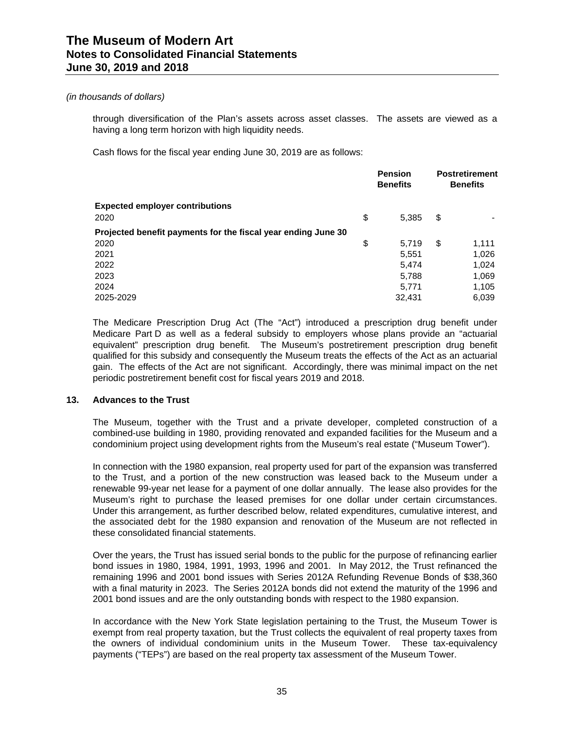through diversification of the Plan's assets across asset classes. The assets are viewed as a having a long term horizon with high liquidity needs.

Cash flows for the fiscal year ending June 30, 2019 are as follows:

|                                                               | <b>Pension</b><br><b>Benefits</b> | <b>Postretirement</b><br><b>Benefits</b> |
|---------------------------------------------------------------|-----------------------------------|------------------------------------------|
| <b>Expected employer contributions</b>                        |                                   |                                          |
| 2020                                                          | \$<br>5,385                       | \$                                       |
| Projected benefit payments for the fiscal year ending June 30 |                                   |                                          |
| 2020                                                          | \$<br>5.719                       | \$<br>1,111                              |
| 2021                                                          | 5,551                             | 1,026                                    |
| 2022                                                          | 5.474                             | 1,024                                    |
| 2023                                                          | 5,788                             | 1,069                                    |
| 2024                                                          | 5.771                             | 1,105                                    |
| 2025-2029                                                     | 32.431                            | 6,039                                    |

The Medicare Prescription Drug Act (The "Act") introduced a prescription drug benefit under Medicare Part D as well as a federal subsidy to employers whose plans provide an "actuarial equivalent" prescription drug benefit. The Museum's postretirement prescription drug benefit qualified for this subsidy and consequently the Museum treats the effects of the Act as an actuarial gain. The effects of the Act are not significant. Accordingly, there was minimal impact on the net periodic postretirement benefit cost for fiscal years 2019 and 2018.

### **13. Advances to the Trust**

The Museum, together with the Trust and a private developer, completed construction of a combined-use building in 1980, providing renovated and expanded facilities for the Museum and a condominium project using development rights from the Museum's real estate ("Museum Tower").

In connection with the 1980 expansion, real property used for part of the expansion was transferred to the Trust, and a portion of the new construction was leased back to the Museum under a renewable 99-year net lease for a payment of one dollar annually. The lease also provides for the Museum's right to purchase the leased premises for one dollar under certain circumstances. Under this arrangement, as further described below, related expenditures, cumulative interest, and the associated debt for the 1980 expansion and renovation of the Museum are not reflected in these consolidated financial statements.

Over the years, the Trust has issued serial bonds to the public for the purpose of refinancing earlier bond issues in 1980, 1984, 1991, 1993, 1996 and 2001. In May 2012, the Trust refinanced the remaining 1996 and 2001 bond issues with Series 2012A Refunding Revenue Bonds of \$38,360 with a final maturity in 2023. The Series 2012A bonds did not extend the maturity of the 1996 and 2001 bond issues and are the only outstanding bonds with respect to the 1980 expansion.

In accordance with the New York State legislation pertaining to the Trust, the Museum Tower is exempt from real property taxation, but the Trust collects the equivalent of real property taxes from the owners of individual condominium units in the Museum Tower. These tax-equivalency payments ("TEPs") are based on the real property tax assessment of the Museum Tower.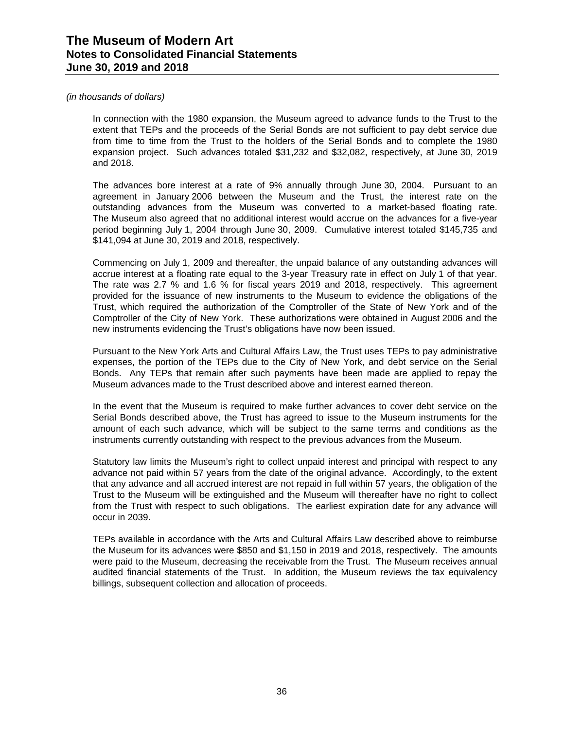### *(in thousands of dollars)*

In connection with the 1980 expansion, the Museum agreed to advance funds to the Trust to the extent that TEPs and the proceeds of the Serial Bonds are not sufficient to pay debt service due from time to time from the Trust to the holders of the Serial Bonds and to complete the 1980 expansion project. Such advances totaled \$31,232 and \$32,082, respectively, at June 30, 2019 and 2018.

The advances bore interest at a rate of 9% annually through June 30, 2004. Pursuant to an agreement in January 2006 between the Museum and the Trust, the interest rate on the outstanding advances from the Museum was converted to a market-based floating rate. The Museum also agreed that no additional interest would accrue on the advances for a five-year period beginning July 1, 2004 through June 30, 2009. Cumulative interest totaled \$145,735 and \$141,094 at June 30, 2019 and 2018, respectively.

Commencing on July 1, 2009 and thereafter, the unpaid balance of any outstanding advances will accrue interest at a floating rate equal to the 3-year Treasury rate in effect on July 1 of that year. The rate was 2.7 % and 1.6 % for fiscal years 2019 and 2018, respectively. This agreement provided for the issuance of new instruments to the Museum to evidence the obligations of the Trust, which required the authorization of the Comptroller of the State of New York and of the Comptroller of the City of New York. These authorizations were obtained in August 2006 and the new instruments evidencing the Trust's obligations have now been issued.

Pursuant to the New York Arts and Cultural Affairs Law, the Trust uses TEPs to pay administrative expenses, the portion of the TEPs due to the City of New York, and debt service on the Serial Bonds. Any TEPs that remain after such payments have been made are applied to repay the Museum advances made to the Trust described above and interest earned thereon.

In the event that the Museum is required to make further advances to cover debt service on the Serial Bonds described above, the Trust has agreed to issue to the Museum instruments for the amount of each such advance, which will be subject to the same terms and conditions as the instruments currently outstanding with respect to the previous advances from the Museum.

Statutory law limits the Museum's right to collect unpaid interest and principal with respect to any advance not paid within 57 years from the date of the original advance. Accordingly, to the extent that any advance and all accrued interest are not repaid in full within 57 years, the obligation of the Trust to the Museum will be extinguished and the Museum will thereafter have no right to collect from the Trust with respect to such obligations. The earliest expiration date for any advance will occur in 2039.

TEPs available in accordance with the Arts and Cultural Affairs Law described above to reimburse the Museum for its advances were \$850 and \$1,150 in 2019 and 2018, respectively. The amounts were paid to the Museum, decreasing the receivable from the Trust. The Museum receives annual audited financial statements of the Trust. In addition, the Museum reviews the tax equivalency billings, subsequent collection and allocation of proceeds.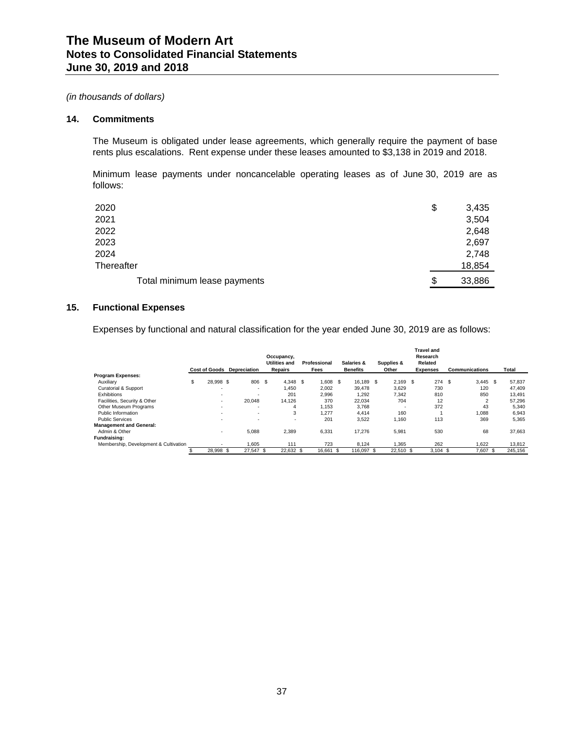### **14. Commitments**

The Museum is obligated under lease agreements, which generally require the payment of base rents plus escalations. Rent expense under these leases amounted to \$3,138 in 2019 and 2018.

Minimum lease payments under noncancelable operating leases as of June 30, 2019 are as follows:

| 2020                         | \$<br>3,435  |
|------------------------------|--------------|
| 2021                         | 3,504        |
| 2022                         | 2,648        |
| 2023                         | 2,697        |
| 2024                         | 2,748        |
| Thereafter                   | 18,854       |
| Total minimum lease payments | \$<br>33,886 |

### **15. Functional Expenses**

Expenses by functional and natural classification for the year ended June 30, 2019 are as follows:

|                                       |                          | <b>Cost of Goods</b> Depreciation |    | Occupancy,<br><b>Utilities and</b><br><b>Repairs</b> |    | Professional<br>Fees |      | Salaries &<br><b>Benefits</b> | Supplies &<br>Other      |    | <b>Travel and</b><br>Research<br>Related<br><b>Expenses</b> | Communications | Total   |
|---------------------------------------|--------------------------|-----------------------------------|----|------------------------------------------------------|----|----------------------|------|-------------------------------|--------------------------|----|-------------------------------------------------------------|----------------|---------|
| <b>Program Expenses:</b>              |                          |                                   |    |                                                      |    |                      |      |                               |                          |    |                                                             |                |         |
| Auxiliary                             | \$<br>28.998 \$          | 806                               | S. | 4.348                                                | -S | 1.608 \$             |      | 16.189 \$                     | 2.169                    | -S | 274S                                                        | $3.445$ \$     | 57,837  |
| <b>Curatorial &amp; Support</b>       | $\overline{\phantom{a}}$ | $\overline{\phantom{a}}$          |    | 1.450                                                |    | 2.002                |      | 39.478                        | 3.629                    |    | 730                                                         | 120            | 47.409  |
| Exhibitions                           | $\sim$                   |                                   |    | 201                                                  |    | 2.996                |      | 1,292                         | 7,342                    |    | 810                                                         | 850            | 13.491  |
| Facilities, Security & Other          | $\overline{\phantom{a}}$ | 20,048                            |    | 14.126                                               |    | 370                  |      | 22,034                        | 704                      |    | 12                                                          | $\overline{c}$ | 57,296  |
| Other Museum Programs                 | $\overline{\phantom{a}}$ | $\overline{\phantom{a}}$          |    | 4                                                    |    | 1.153                |      | 3.768                         | $\overline{\phantom{a}}$ |    | 372                                                         | 43             | 5,340   |
| Public Information                    | $\overline{\phantom{a}}$ | $\overline{\phantom{a}}$          |    | 3                                                    |    | 1.277                |      | 4.414                         | 160                      |    |                                                             | 1.088          | 6,943   |
| <b>Public Services</b>                | $\overline{\phantom{a}}$ | $\overline{\phantom{a}}$          |    | $\sim$                                               |    | 201                  |      | 3,522                         | 1,160                    |    | 113                                                         | 369            | 5,365   |
| <b>Management and General:</b>        |                          |                                   |    |                                                      |    |                      |      |                               |                          |    |                                                             |                |         |
| Admin & Other                         | $\sim$                   | 5.088                             |    | 2.389                                                |    | 6,331                |      | 17,276                        | 5,981                    |    | 530                                                         | 68             | 37,663  |
| Fundraising:                          |                          |                                   |    |                                                      |    |                      |      |                               |                          |    |                                                             |                |         |
| Membership, Development & Cultivation |                          | 1.605                             |    | 111                                                  |    | 723                  |      | 8.124                         | 1.365                    |    | 262                                                         | 1.622          | 13.812  |
|                                       | 28,998 \$                | 27.547 \$                         |    | 22.632 \$                                            |    | 16,661               | - \$ | 116,097                       | 22,510 \$                |    | $3,104$ \$                                                  | 7.607 \$       | 245,156 |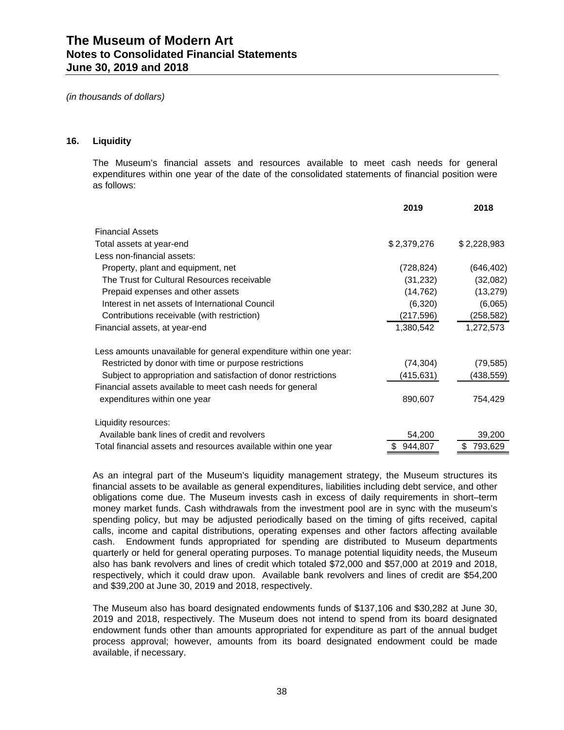### **16. Liquidity**

The Museum's financial assets and resources available to meet cash needs for general expenditures within one year of the date of the consolidated statements of financial position were as follows:

|                                                                   | 2019         | 2018         |
|-------------------------------------------------------------------|--------------|--------------|
| <b>Financial Assets</b>                                           |              |              |
| Total assets at year-end                                          | \$2,379,276  | \$2,228,983  |
| Less non-financial assets:                                        |              |              |
| Property, plant and equipment, net                                | (728,824)    | (646, 402)   |
| The Trust for Cultural Resources receivable                       | (31, 232)    | (32,082)     |
| Prepaid expenses and other assets                                 | (14, 762)    | (13, 279)    |
| Interest in net assets of International Council                   | (6,320)      | (6,065)      |
| Contributions receivable (with restriction)                       | (217, 596)   | (258, 582)   |
| Financial assets, at year-end                                     | 1,380,542    | 1,272,573    |
| Less amounts unavailable for general expenditure within one year: |              |              |
| Restricted by donor with time or purpose restrictions             | (74, 304)    | (79, 585)    |
| Subject to appropriation and satisfaction of donor restrictions   | (415, 631)   | (438,559)    |
| Financial assets available to meet cash needs for general         |              |              |
| expenditures within one year                                      | 890,607      | 754,429      |
| Liquidity resources:                                              |              |              |
| Available bank lines of credit and revolvers                      | 54,200       | 39,200       |
| Total financial assets and resources available within one year    | 944,807<br>S | 793,629<br>S |

As an integral part of the Museum's liquidity management strategy, the Museum structures its financial assets to be available as general expenditures, liabilities including debt service, and other obligations come due. The Museum invests cash in excess of daily requirements in short–term money market funds. Cash withdrawals from the investment pool are in sync with the museum's spending policy, but may be adjusted periodically based on the timing of gifts received, capital calls, income and capital distributions, operating expenses and other factors affecting available cash. Endowment funds appropriated for spending are distributed to Museum departments quarterly or held for general operating purposes. To manage potential liquidity needs, the Museum also has bank revolvers and lines of credit which totaled \$72,000 and \$57,000 at 2019 and 2018, respectively, which it could draw upon. Available bank revolvers and lines of credit are \$54,200 and \$39,200 at June 30, 2019 and 2018, respectively.

The Museum also has board designated endowments funds of \$137,106 and \$30,282 at June 30, 2019 and 2018, respectively. The Museum does not intend to spend from its board designated endowment funds other than amounts appropriated for expenditure as part of the annual budget process approval; however, amounts from its board designated endowment could be made available, if necessary.